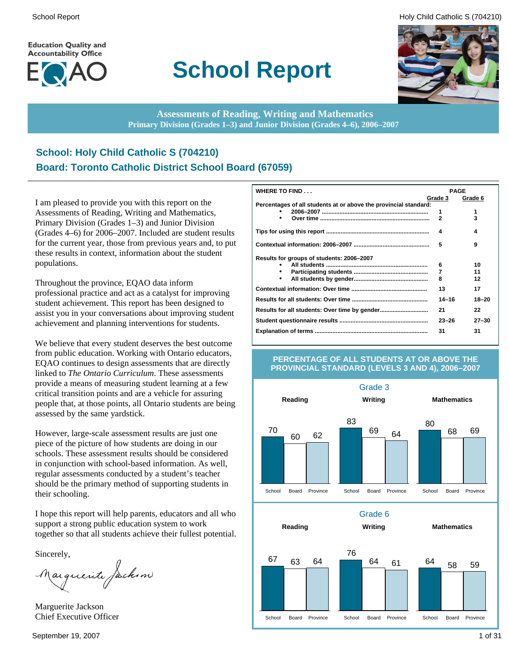**Education Quality and Accountability Office** 



# **School Report**

School Report **Example 2** and the set of the set of the set of the set of the set of the set of the set of the set of the set of the set of the set of the set of the set of the set of the set of the set of the set of the s



**Assessments of Reading, Writing and Mathematics Primary Division (Grades 1–3) and Junior Division (Grades 4–6), 2006–2007**

### **School: Holy Child Catholic S (704210) Board: Toronto Catholic District School Board (67059)**

I am pleased to provide you with this report on the Assessments of Reading, Writing and Mathematics, Primary Division (Grades 1–3) and Junior Division (Grades 4–6) for 2006–2007. Included are student results for the current year, those from previous years and, to put these results in context, information about the student populations.

Throughout the province, EQAO data inform professional practice and act as a catalyst for improving student achievement. This report has been designed to assist you in your conversations about improving student achievement and planning interventions for students.

We believe that every student deserves the best outcome from public education. Working with Ontario educators, EQAO continues to design assessments that are directly linked to *The Ontario Curriculum*. These assessments provide a means of measuring student learning at a few critical transition points and are a vehicle for assuring people that, at those points, all Ontario students are being assessed by the same yardstick.

However, large-scale assessment results are just one piece of the picture of how students are doing in our schools. These assessment results should be considered in conjunction with school-based information. As well, regular assessments conducted by a student's teacher should be the primary method of supporting students in their schooling.

I hope this report will help parents, educators and all who support a strong public education system to work together so that all students achieve their fullest potential.

Sincerely,

Marguerite Jackson

Marguerite Jackson Chief Executive Officer

| WHERE TO FIND                                                    | <b>PAGE</b>  |           |  |
|------------------------------------------------------------------|--------------|-----------|--|
|                                                                  | Grade 3      | Grade 6   |  |
| Percentages of all students at or above the provincial standard: |              |           |  |
|                                                                  | 1            | 1         |  |
| ٠                                                                | $\mathbf{2}$ | 3         |  |
|                                                                  | 4            | 4         |  |
|                                                                  | 5            | 9         |  |
| Results for groups of students: 2006–2007                        |              |           |  |
|                                                                  | 6            | 10        |  |
|                                                                  | 7            | 11        |  |
| ٠                                                                | 8            | 12        |  |
|                                                                  | 13           | 17        |  |
|                                                                  | $14 - 16$    | 18-20     |  |
|                                                                  | 21           | 22        |  |
|                                                                  | $23 - 26$    | $27 - 30$ |  |
|                                                                  | 31           | 31        |  |

#### **PERCENTAGE OF ALL STUDENTS AT OR ABOVE THE PROVINCIAL STANDARD (LEVELS 3 AND 4), 2006–2007**

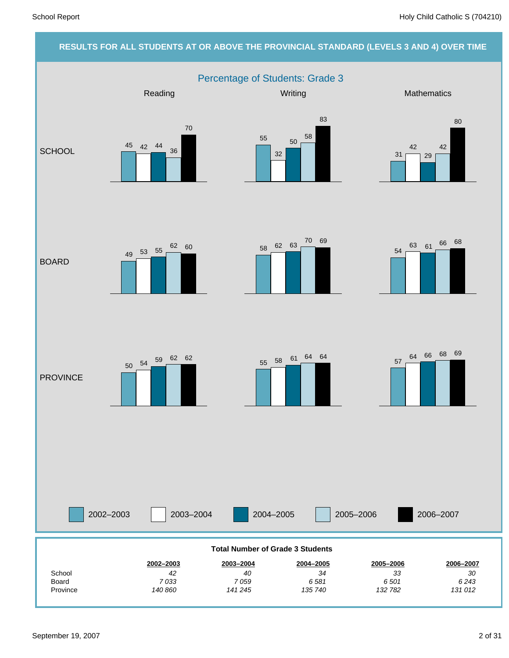#### **RESULTS FOR ALL STUDENTS AT OR ABOVE THE PROVINCIAL STANDARD (LEVELS 3 AND 4) OVER TIME** Percentage of Students: Grade 3 2002–2003 2003–2004 2004–2005 2005–2006 Reading Mathematics **Mathematics** Mathematics **Mathematics SCHOOL** BOARD **PROVINCE** 2006–2007 *131 012 6 243 30* **2006–2007** *132 782 6 501 33* **2005–2006** *135 740 6 581 34* **2004–2005** *141 245 7 059 40* **2003–2004** *140 860 7 033 42* **2002–2003** Province Board School **Total Number of Grade 3 Students** 45 42 44 36 70 55 32 50 58 83 31 42 29 42 80 <sup>49</sup> <sup>53</sup> <sup>55</sup>  $62 \t60$   $58 \t62 \t63$   $70 \t69$ 54 <sup>63</sup> <sup>61</sup> <sup>66</sup> <sup>68</sup> 57 <sup>64</sup> <sup>66</sup> <sup>68</sup> <sup>69</sup> <sup>55</sup> <sup>58</sup> <sup>61</sup> <sup>64</sup> <sup>64</sup> <sup>50</sup> <sup>54</sup> <sup>59</sup> <sup>62</sup> <sup>62</sup>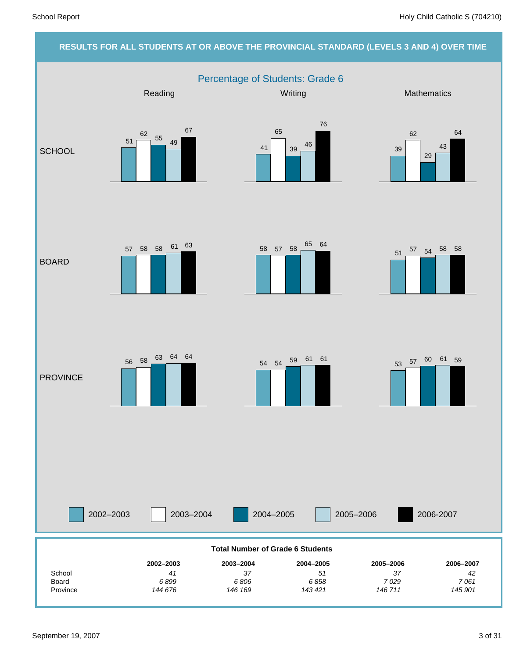### **RESULTS FOR ALL STUDENTS AT OR ABOVE THE PROVINCIAL STANDARD (LEVELS 3 AND 4) OVER TIME** Percentage of Students: Grade 6 2002–2003 2003–2004 2004–2005 2005–2006 Reading Mathematics **Mathematics** Mathematics **Mathematics SCHOOL** BOARD **PROVINCE** 2006-2007 *145 901 7 061 42* **2006–2007** *146 711 7 029 37* **2005–2006** *143 421 6 858 51* **2004–2005** *146 169 6 806 37* **2003–2004** *144 676 6 899 41* **2002–2003** Province Board School **Total Number of Grade 6 Students** 51 62  $\frac{55}{49}$ 67 41 65 <sup>39</sup> <sup>46</sup> 76 39 62 29 43 64  $57$  58 58 61 63 58 57 58 65 64 <sup>51</sup> <sup>57</sup> <sup>54</sup> <sup>58</sup> <sup>58</sup> <sup>53</sup> <sup>57</sup> <sup>60</sup> <sup>61</sup> <sup>59</sup> <sup>54</sup> <sup>54</sup> <sup>59</sup> <sup>61</sup> <sup>61</sup> <sup>56</sup> <sup>58</sup> <sup>63</sup> <sup>64</sup> <sup>64</sup>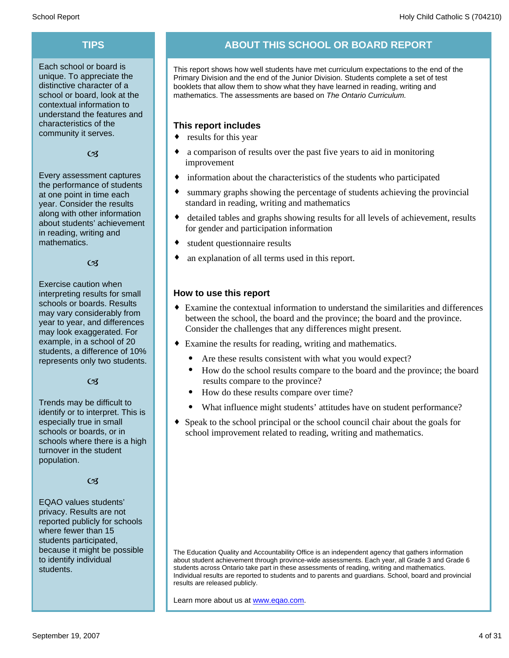Each school or board is unique. To appreciate the distinctive character of a school or board, look at the contextual information to understand the features and characteristics of the community it serves.

#### $C<sub>3</sub>$

Every assessment captures the performance of students at one point in time each year. Consider the results along with other information about students' achievement in reading, writing and mathematics.

 $\alpha$ 

Exercise caution when interpreting results for small schools or boards. Results may vary considerably from year to year, and differences may look exaggerated. For example, in a school of 20 students, a difference of 10% represents only two students.

 $C<sub>3</sub>$ 

Trends may be difficult to identify or to interpret. This is especially true in small schools or boards, or in schools where there is a high turnover in the student population.

#### $C<sub>3</sub>$

EQAO values students' privacy. Results are not reported publicly for schools where fewer than 15 students participated, because it might be possible to identify individual students.

### **TIPS ABOUT THIS SCHOOL OR BOARD REPORT**

This report shows how well students have met curriculum expectations to the end of the Primary Division and the end of the Junior Division. Students complete a set of test booklets that allow them to show what they have learned in reading, writing and mathematics. The assessments are based on *The Ontario Curriculum.*

#### **This report includes**

- $\bullet$  results for this year
- a comparison of results over the past five years to aid in monitoring improvement
- $\bullet$  information about the characteristics of the students who participated
- summary graphs showing the percentage of students achieving the provincial standard in reading, writing and mathematics
- detailed tables and graphs showing results for all levels of achievement, results for gender and participation information
- student questionnaire results
- an explanation of all terms used in this report.

#### **How to use this report**

- ¨ Examine the contextual information to understand the similarities and differences between the school, the board and the province; the board and the province. Consider the challenges that any differences might present.
- Examine the results for reading, writing and mathematics.
	- Are these results consistent with what you would expect?
	- · How do the school results compare to the board and the province; the board results compare to the province?
	- How do these results compare over time?
	- What influence might students' attitudes have on student performance?
- Speak to the school principal or the school council chair about the goals for school improvement related to reading, writing and mathematics.

The Education Quality and Accountability Office is an independent agency that gathers information about student achievement through province-wide assessments. Each year, all Grade 3 and Grade 6 students across Ontario take part in these assessments of reading, writing and mathematics. Individual results are reported to students and to parents and guardians. School, board and provincial results are released publicly.

Learn more about us at www.eqao.com.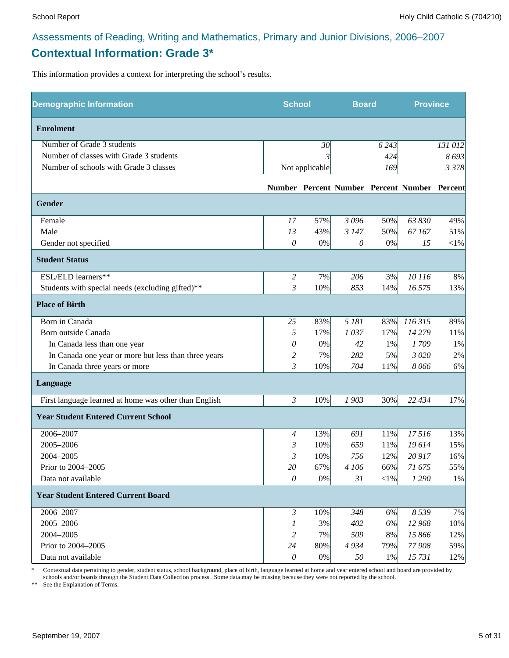### **Contextual Information: Grade 3\***

This information provides a context for interpreting the school's results.

| <b>Demographic Information</b>                        | <b>School</b>         |                | <b>Board</b> |         | <b>Province</b>                              |          |
|-------------------------------------------------------|-----------------------|----------------|--------------|---------|----------------------------------------------|----------|
| <b>Enrolment</b>                                      |                       |                |              |         |                                              |          |
| Number of Grade 3 students                            |                       | 30             |              | 6 2 4 3 |                                              | 131 012  |
| Number of classes with Grade 3 students               |                       |                |              | 424     |                                              | 8693     |
| Number of schools with Grade 3 classes                |                       | Not applicable |              | 169     |                                              | 3 3 7 8  |
|                                                       |                       |                |              |         | Number Percent Number Percent Number Percent |          |
| Gender                                                |                       |                |              |         |                                              |          |
| Female                                                | 17                    | 57%            | 3 0 9 6      | 50%     | 63 830                                       | 49%      |
| Male                                                  | 13                    | 43%            | 3 1 4 7      | 50%     | 67167                                        | 51%      |
| Gender not specified                                  | 0                     | $0\%$          | 0            | $0\%$   | 15                                           | ${<}1\%$ |
| <b>Student Status</b>                                 |                       |                |              |         |                                              |          |
| ESL/ELD learners**                                    | 2                     | 7%             | 206          | 3%      | 10 116                                       | 8%       |
| Students with special needs (excluding gifted)**      | 3                     | 10%            | 853          | 14%     | 16 575                                       | 13%      |
| <b>Place of Birth</b>                                 |                       |                |              |         |                                              |          |
| Born in Canada                                        | 25                    | 83%            | 5 181        | 83%     | 116 315                                      | 89%      |
| Born outside Canada                                   | 5                     | 17%            | 1037         | 17%     | 14 279                                       | 11%      |
| In Canada less than one year                          | 0                     | 0%             | 42           | 1%      | 1709                                         | 1%       |
| In Canada one year or more but less than three years  | 2                     | 7%             | 282          | 5%      | 3 0 20                                       | 2%       |
| In Canada three years or more                         | $\mathfrak{Z}$        | 10%            | 704          | 11%     | 8066                                         | 6%       |
| Language                                              |                       |                |              |         |                                              |          |
| First language learned at home was other than English | 3                     | 10%            | 1903         | 30%     | 22 434                                       | 17%      |
| <b>Year Student Entered Current School</b>            |                       |                |              |         |                                              |          |
| 2006-2007                                             | $\overline{4}$        | 13%            | 691          | 11%     | 17516                                        | 13%      |
| 2005-2006                                             | 3                     | 10%            | 659          | 11%     | 19614                                        | 15%      |
| 2004-2005                                             | 3                     | 10%            | 756          | 12%     | 20 917                                       | 16%      |
| Prior to 2004-2005                                    | 20                    | 67%            | 4 106        | 66%     | 71 675                                       | 55%      |
| Data not available                                    | $\theta$              | 0%             | 31           | $<$ 1%  | 1 2 9 0                                      | 1%       |
| <b>Year Student Entered Current Board</b>             |                       |                |              |         |                                              |          |
| 2006-2007                                             | $\mathfrak{Z}$        | 10%            | 348          | 6%      | 8 5 3 9                                      | 7%       |
| 2005-2006                                             | 1                     | 3%             | 402          | 6%      | 12 968                                       | 10%      |
| 2004-2005                                             | $\overline{c}$        | 7%             | 509          | 8%      | 15 866                                       | 12%      |
| Prior to 2004-2005                                    | 24                    | 80%            | 4934         | 79%     | 77 908                                       | 59%      |
| Data not available                                    | $\boldsymbol{\theta}$ | $0\%$          | 50           | 1%      | 15 731                                       | 12%      |

\* Contextual data pertaining to gender, student status, school background, place of birth, language learned at home and year entered school and board are provided by schools and/or boards through the Student Data Collection process. Some data may be missing because they were not reported by the school.

\*\* See the Explanation of Terms.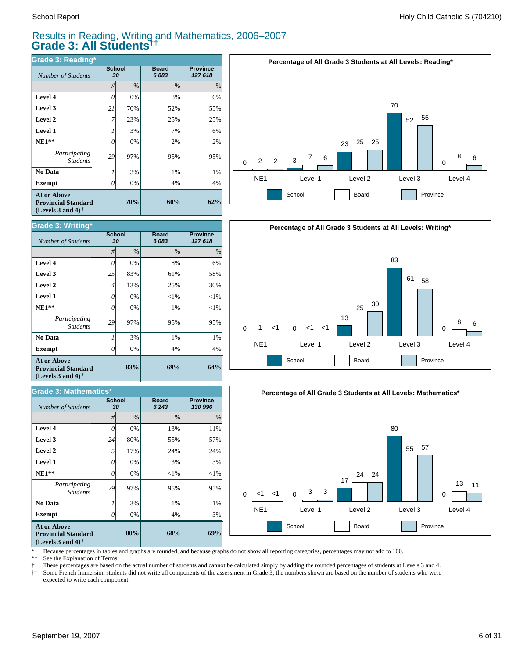#### Results in Reading, Writing and Mathematics, 2006–2007 **Grade 3: All Students††**

**Board** *6 083*

| <b>Grade 3: Reading*</b>                                                                                    |              |      |                       |                            |  |  |  |  |
|-------------------------------------------------------------------------------------------------------------|--------------|------|-----------------------|----------------------------|--|--|--|--|
| Number of Students                                                                                          | School<br>30 |      | <b>Board</b><br>6 083 | <b>Province</b><br>127 618 |  |  |  |  |
|                                                                                                             | #            | $\%$ | $\%$                  | $\%$                       |  |  |  |  |
| Level 4                                                                                                     | 0            | 0%   | 8%                    | 6%                         |  |  |  |  |
| Level 3                                                                                                     | 21           | 70%  | 52%                   | 55%                        |  |  |  |  |
| Level 2                                                                                                     | 7            | 23%  | 25%                   | 25%                        |  |  |  |  |
| <b>Level 1</b>                                                                                              |              | 3%   | 7%                    | 6%                         |  |  |  |  |
| $NE1**$                                                                                                     | 0            | 0%   | 2%                    | 2%                         |  |  |  |  |
| Participating<br><b>Students</b>                                                                            | 29           | 97%  | 95%                   | 95%                        |  |  |  |  |
| No Data                                                                                                     |              | 3%   | 1%                    | 1%                         |  |  |  |  |
| <b>Exempt</b>                                                                                               |              | 0%   | 4%                    | 4%                         |  |  |  |  |
| <b>At or Above</b><br>70%<br><b>Provincial Standard</b><br>(Levels 3 and 4) <sup><math>\dagger</math></sup> |              |      | 60%                   | 62%                        |  |  |  |  |







\* Because percentages in tables and graphs are rounded, and because graphs do not show all reporting categories, percentages may not add to 100.

**Province** *127 618*

See the Explanation of Terms.

† These percentages are based on the actual number of students and cannot be calculated simply by adding the rounded percentages of students at Levels 3 and 4.<br>†† Some French Immersion students did not write all components

Some French Immersion students did not write all components of the assessment in Grade 3; the numbers shown are based on the number of students who were expected to write each component.

|                | #  | $\%$ | $\frac{9}{6}$ | $\%$   |
|----------------|----|------|---------------|--------|
| Level 4        |    | 0%   | 8%            | 6%     |
| Level 3        | 25 | 83%  | 61%           | 58%    |
| Level 2        | 4  | 13%  | 25%           | 30%    |
| <b>Level 1</b> | 0  | 0%   | <1%           | $<$ 1% |
| $NE1**$        | 0  | 0%   | $1\%$         | $<$ 1% |

 $Number of Students$ 

**Grade 3: Writing\***

**School**

| <b>At or Above</b><br>83%<br><b>Provincial Standard</b><br>(Levels 3 and 4) $\dagger$ |    |       | 69%     | 64%      |
|---------------------------------------------------------------------------------------|----|-------|---------|----------|
| Exempt                                                                                | 0  | 0%    | 4%      | 4%       |
| No Data                                                                               |    | 3%    | 1%      | 1%       |
| <i>Participating</i><br><i>Students</i>                                               | 29 | 97%   | 95%     | 95%      |
| $NE1**$                                                                               | 0  | 0%    | 1%      | $<$ 1%   |
| <b>Level 1</b>                                                                        | 0  | $0\%$ | $< 1\%$ | ${<}1\%$ |

| Grade 3: Mathematics*                                                          |          |                     |                      |                            |  |  |  |  |
|--------------------------------------------------------------------------------|----------|---------------------|----------------------|----------------------------|--|--|--|--|
| <b>Number of Students</b>                                                      |          | <b>School</b><br>30 | <b>Board</b><br>6243 | <b>Province</b><br>130 996 |  |  |  |  |
|                                                                                | #        | $\%$                | $\%$                 | $\%$                       |  |  |  |  |
| Level 4                                                                        | $\theta$ | 0%                  | 13%                  | 11%                        |  |  |  |  |
| Level 3                                                                        | 24       | 80%                 | 55%                  | 57%                        |  |  |  |  |
| Level 2                                                                        | 5        | 17%                 | 24%                  | 24%                        |  |  |  |  |
| <b>Level 1</b>                                                                 | 0        | 0%                  | 3%                   | 3%                         |  |  |  |  |
| $NE1**$                                                                        | $\theta$ | 0%                  | $<$ 1%               | ${<}1\%$                   |  |  |  |  |
| Participating<br><b>Students</b>                                               | 29       | 97%                 | 95%                  | 95%                        |  |  |  |  |
| No Data                                                                        |          | 3%                  | 1%                   | 1%                         |  |  |  |  |
| <b>Exempt</b>                                                                  | 0        | 0%                  | 4%                   | 3%                         |  |  |  |  |
| <b>At or Above</b><br><b>Provincial Standard</b><br>(Levels 3 and 4) $\bar{ }$ |          | 80%                 | 68%                  | 69%                        |  |  |  |  |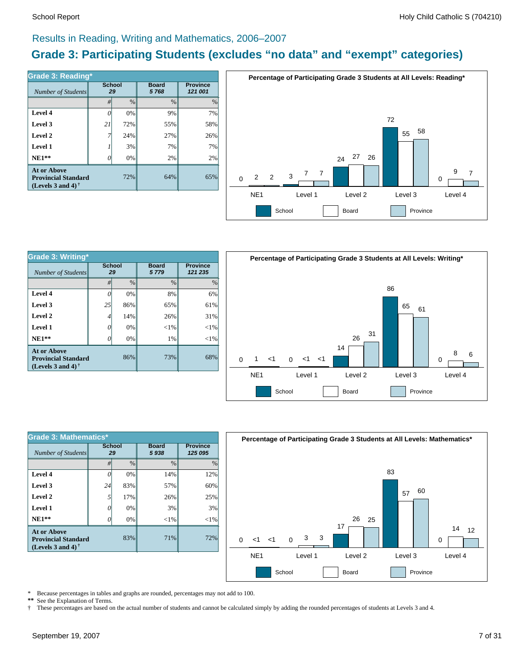#### Results in Reading, Writing and Mathematics, 2006–2007

### **Grade 3: Participating Students (excludes "no data" and "exempt" categories)**

| Number of Students                                                             | <b>School</b><br>29 |      | <b>Board</b><br>5768 | <b>Province</b><br>121 001 |
|--------------------------------------------------------------------------------|---------------------|------|----------------------|----------------------------|
|                                                                                | #                   | $\%$ | %                    | $\%$                       |
| Level 4                                                                        |                     | 0%   | 9%                   | 7%                         |
| Level 3                                                                        | 21                  | 72%  | 55%                  | 58%                        |
| Level 2                                                                        |                     | 24%  | 27%                  | 26%                        |
| Level 1                                                                        |                     | 3%   | 7%                   | 7%                         |
| $NE1**$                                                                        |                     | 0%   | 2%                   | 2%                         |
| <b>At or Above</b><br><b>Provincial Standard</b><br>(Levels 3 and 4) $\dagger$ |                     | 72%  | 64%                  | 65%                        |



| <b>Grade 3: Writing*</b>                                          |                     |               |                      |                            |  |  |  |  |
|-------------------------------------------------------------------|---------------------|---------------|----------------------|----------------------------|--|--|--|--|
| Number of Students                                                | <b>School</b><br>29 |               | <b>Board</b><br>5779 | <b>Province</b><br>121 235 |  |  |  |  |
|                                                                   | #                   | $\frac{0}{0}$ | $\frac{0}{0}$        | $\%$                       |  |  |  |  |
| Level 4                                                           | 0                   | 0%            | 8%                   | 6%                         |  |  |  |  |
| Level 3                                                           | 25                  | 86%           | 65%                  | 61%                        |  |  |  |  |
| Level 2                                                           | 4                   | 14%           | 26%                  | 31%                        |  |  |  |  |
| Level 1                                                           | 0                   | 0%            | $<$ 1%               | $<$ 1%                     |  |  |  |  |
| $NE1**$                                                           |                     | 0%            | 1%                   | $<$ 1%                     |  |  |  |  |
| At or Above<br><b>Provincial Standard</b><br>(Levels 3 and 4) $†$ |                     | 86%           | 73%                  | 68%                        |  |  |  |  |



| <b>Grade 3: Mathematics*</b>                                                   |                     |               |                      |                            |  |  |  |
|--------------------------------------------------------------------------------|---------------------|---------------|----------------------|----------------------------|--|--|--|
| Number of Students                                                             | <b>School</b><br>29 |               | <b>Board</b><br>5938 | <b>Province</b><br>125 095 |  |  |  |
|                                                                                | #                   | $\frac{0}{0}$ | $\frac{0}{0}$        | $\frac{0}{0}$              |  |  |  |
| Level 4                                                                        |                     | 0%            | 14%                  | 12%                        |  |  |  |
| Level 3                                                                        | 24                  | 83%           | 57%                  | 60%                        |  |  |  |
| Level 2                                                                        | 5                   | 17%           | 26%                  | 25%                        |  |  |  |
| Level 1                                                                        | 0                   | 0%            | 3%                   | 3%                         |  |  |  |
| $NE1**$                                                                        | O                   | 0%            | $<$ 1%               | $<$ 1%                     |  |  |  |
| <b>At or Above</b><br><b>Provincial Standard</b><br>(Levels 3 and 4) $\dagger$ |                     | 83%           | 71%                  | 72%                        |  |  |  |



\* Because percentages in tables and graphs are rounded, percentages may not add to 100.<br>\*\* See the Explanation of Terms See the Explanation of Terms.

† These percentages are based on the actual number of students and cannot be calculated simply by adding the rounded percentages of students at Levels 3 and 4.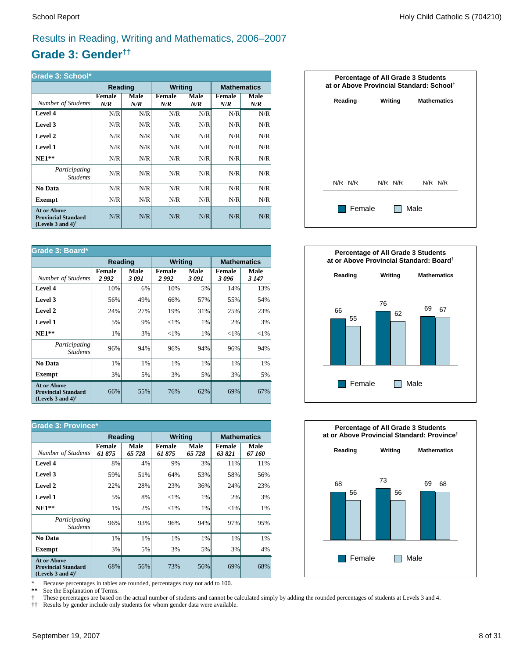## Results in Reading, Writing and Mathematics, 2006–2007

### **Grade 3: Gender††**

| Grade 3: School*                                                                                     |                      |             |                      |             |               |                    |  |  |
|------------------------------------------------------------------------------------------------------|----------------------|-------------|----------------------|-------------|---------------|--------------------|--|--|
|                                                                                                      | Reading              |             | <b>Writing</b>       |             |               | <b>Mathematics</b> |  |  |
| Number of Students                                                                                   | <b>Female</b><br>N/R | Male<br>N/R | <b>Female</b><br>N/R | Male<br>N/R | Female<br>N/R | Male<br>N/R        |  |  |
| Level 4                                                                                              | N/R                  | N/R         | N/R                  | N/R         | N/R           | N/R                |  |  |
| Level 3                                                                                              | N/R                  | N/R         | N/R                  | N/R         | N/R           | N/R                |  |  |
| Level 2                                                                                              | N/R                  | N/R         | N/R                  | N/R         | N/R           | N/R                |  |  |
| Level 1                                                                                              | N/R                  | N/R         | N/R                  | N/R         | N/R           | N/R                |  |  |
| $NE1**$                                                                                              | N/R                  | N/R         | N/R                  | N/R         | N/R           | N/R                |  |  |
| Participating<br><i>Students</i>                                                                     | N/R                  | N/R         | N/R                  | N/R         | N/R           | N/R                |  |  |
| <b>No Data</b>                                                                                       | N/R                  | N/R         | N/R                  | N/R         | N/R           | N/R                |  |  |
| Exempt                                                                                               | N/R                  | N/R         | N/R                  | N/R         | N/R           | N/R                |  |  |
| <b>At or Above</b><br><b>Provincial Standard</b><br>(Levels 3 and 4) <sup><math>\dagger</math></sup> | N/R                  | N/R         | N/R                  | N/R         | N/R           | N/R                |  |  |

| Grade 3: Board*                                                                |                       |              |                       |                |                       |                    |  |
|--------------------------------------------------------------------------------|-----------------------|--------------|-----------------------|----------------|-----------------------|--------------------|--|
|                                                                                | Reading               |              |                       | <b>Writing</b> |                       | <b>Mathematics</b> |  |
| Number of Students                                                             | <b>Female</b><br>2992 | Male<br>3091 | <b>Female</b><br>2992 | Male<br>3 091  | <b>Female</b><br>3096 | Male<br>3 1 4 7    |  |
| Level 4                                                                        | 10%                   | 6%           | 10%                   | 5%             | 14%                   | 13%                |  |
| Level 3                                                                        | 56%                   | 49%          | 66%                   | 57%            | 55%                   | 54%                |  |
| Level 2                                                                        | 24%                   | 27%          | 19%                   | 31%            | 25%                   | 23%                |  |
| <b>Level 1</b>                                                                 | 5%                    | 9%           | ${<}1\%$              | 1%             | 2%                    | 3%                 |  |
| $NE1**$                                                                        | 1%                    | 3%           | ${<}1\%$              | 1%             | ${<}1\%$              | ${<}1\%$           |  |
| <i>Participating</i><br><i>Students</i>                                        | 96%                   | 94%          | 96%                   | 94%            | 96%                   | 94%                |  |
| No Data                                                                        | 1%                    | 1%           | 1%                    | 1%             | 1%                    | 1%                 |  |
| <b>Exempt</b>                                                                  | 3%                    | 5%           | 3%                    | 5%             | 3%                    | 5%                 |  |
| <b>At or Above</b><br><b>Provincial Standard</b><br>(Levels 3 and 4) $\dagger$ | 66%                   | 55%          | 76%                   | 62%            | 69%                   | 67%                |  |

| <b>Grade 3: Province*</b>                                                                            |                        |                |                         |                |                  |                    |  |
|------------------------------------------------------------------------------------------------------|------------------------|----------------|-------------------------|----------------|------------------|--------------------|--|
|                                                                                                      | Reading                |                | <b>Writing</b>          |                |                  | <b>Mathematics</b> |  |
| Number of Students                                                                                   | <b>Female</b><br>61875 | Male<br>65 728 | <b>Female</b><br>61 875 | Male<br>65 728 | Female<br>63 821 | Male<br>67 160     |  |
| Level 4                                                                                              | 8%                     | 4%             | 9%                      | 3%             | 11%              | 11%                |  |
| Level 3                                                                                              | 59%                    | 51%            | 64%                     | 53%            | 58%              | 56%                |  |
| Level 2                                                                                              | 22%                    | 28%            | 23%                     | 36%            | 24%              | 23%                |  |
| Level 1                                                                                              | 5%                     | 8%             | $<$ 1%                  | 1%             | 2%               | 3%                 |  |
| $NE1**$                                                                                              | 1%                     | 2%             | ${<}1\%$                | 1%             | ${<}1\%$         | $1\%$              |  |
| <i>Participating</i><br><b>Students</b>                                                              | 96%                    | 93%            | 96%                     | 94%            | 97%              | 95%                |  |
| No Data                                                                                              | 1%                     | 1%             | 1%                      | 1%             | 1%               | $1\%$              |  |
| <b>Exempt</b>                                                                                        | 3%                     | 5%             | 3%                      | 5%             | 3%               | $4\%$              |  |
| <b>At or Above</b><br><b>Provincial Standard</b><br>(Levels 3 and 4) <sup><math>\dagger</math></sup> | 68%                    | 56%            | 73%                     | 56%            | 69%              | 68%                |  |

\* Because percentages in tables are rounded, percentages may not add to 100.<br>\*\* See the Explanation of Terms.

See the Explanation of Terms.

† These percentages are based on the actual number of students and cannot be calculated simply by adding the rounded percentages of students at Levels 3 and 4.<br>†† Results by gender include only students for whom gender dat

†† Results by gender include only students for whom gender data were available.

| <b>Percentage of All Grade 3 Students</b><br>at or Above Provincial Standard: School <sup>†</sup> |         |                    |  |  |  |  |  |  |  |
|---------------------------------------------------------------------------------------------------|---------|--------------------|--|--|--|--|--|--|--|
| Reading                                                                                           | Writing | <b>Mathematics</b> |  |  |  |  |  |  |  |
|                                                                                                   |         |                    |  |  |  |  |  |  |  |
|                                                                                                   |         |                    |  |  |  |  |  |  |  |
|                                                                                                   |         |                    |  |  |  |  |  |  |  |
| N/R N/R                                                                                           | N/R N/R | $N/R$ $N/R$        |  |  |  |  |  |  |  |
| Female                                                                                            |         | Male               |  |  |  |  |  |  |  |



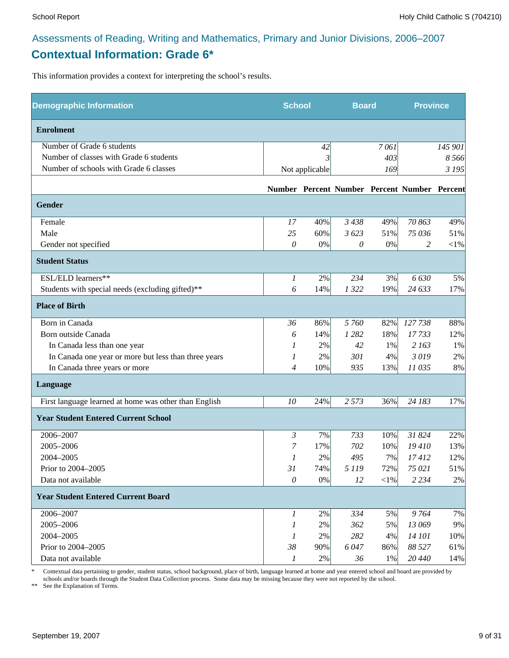### Assessments of Reading, Writing and Mathematics, Primary and Junior Divisions, 2006–2007 **Contextual Information: Grade 6\***

This information provides a context for interpreting the school's results.

| <b>Demographic Information</b>                        |                | <b>School</b>  |          | <b>Board</b> |                                              | <b>Province</b> |
|-------------------------------------------------------|----------------|----------------|----------|--------------|----------------------------------------------|-----------------|
| <b>Enrolment</b>                                      |                |                |          |              |                                              |                 |
| Number of Grade 6 students                            |                | 42             |          | 7061         |                                              | 145 901         |
| Number of classes with Grade 6 students               |                | 3              |          | 403          |                                              | 8 5 6 6         |
| Number of schools with Grade 6 classes                |                | Not applicable |          | 169          |                                              | 3 1 9 5         |
|                                                       |                |                |          |              | Number Percent Number Percent Number Percent |                 |
| Gender                                                |                |                |          |              |                                              |                 |
| Female                                                | 17             | 40%            | 3438     | 49%          | 70 863                                       | 49%             |
| Male                                                  | 25             | 60%            | 3623     | 51%          | 75 036                                       | 51%             |
| Gender not specified                                  | $\theta$       | $0\%$          | $\theta$ | 0%           | 2                                            | $<\!\!1\%$      |
| <b>Student Status</b>                                 |                |                |          |              |                                              |                 |
| ESL/ELD learners**                                    | 1              | 2%             | 234      | 3%           | 6630                                         | 5%              |
| Students with special needs (excluding gifted)**      | 6              | 14%            | 1322     | 19%          | 24 633                                       | 17%             |
| <b>Place of Birth</b>                                 |                |                |          |              |                                              |                 |
| Born in Canada                                        | 36             | 86%            | 5 760    | 82%          | 127738                                       | 88%             |
| Born outside Canada                                   | 6              | 14%            | 1 2 8 2  | 18%          | 17733                                        | 12%             |
| In Canada less than one year                          | 1              | 2%             | 42       | 1%           | 2 163                                        | 1%              |
| In Canada one year or more but less than three years  | 1              | 2%             | 301      | 4%           | 3019                                         | 2%              |
| In Canada three years or more                         | $\overline{4}$ | 10%            | 935      | 13%          | 11 035                                       | 8%              |
| Language                                              |                |                |          |              |                                              |                 |
| First language learned at home was other than English | 10             | 24%            | 2 5 7 3  | 36%          | 24 183                                       | 17%             |
| <b>Year Student Entered Current School</b>            |                |                |          |              |                                              |                 |
| 2006-2007                                             | 3              | 7%             | 733      | 10%          | 31 824                                       | 22%             |
| 2005-2006                                             | 7              | 17%            | 702      | 10%          | 19410                                        | 13%             |
| 2004-2005                                             | 1              | 2%             | 495      | 7%           | 17412                                        | 12%             |
| Prior to 2004-2005                                    | 31             | 74%            | 5 1 1 9  | 72%          | 75 021                                       | 51%             |
| Data not available                                    | $\theta$       | $0\%$          | 12       | $<\!\!1\%$   | 2 2 3 4                                      | 2%              |
| <b>Year Student Entered Current Board</b>             |                |                |          |              |                                              |                 |
| 2006-2007                                             | 1              | 2%             | 334      | 5%           | 9764                                         | 7%              |
| 2005-2006                                             | 1              | 2%             | 362      | 5%           | 13 069                                       | 9%              |
| 2004-2005                                             | 1              | 2%             | 282      | 4%           | 14 101                                       | 10%             |
| Prior to 2004-2005                                    | 38             | 90%            | 6047     | 86%          | 88 527                                       | 61%             |
| Data not available                                    | 1              | 2%             | 36       | $1\%$        | 20 440                                       | 14%             |

\* Contextual data pertaining to gender, student status, school background, place of birth, language learned at home and year entered school and board are provided by schools and/or boards through the Student Data Collection process. Some data may be missing because they were not reported by the school.

\*\* See the Explanation of Terms.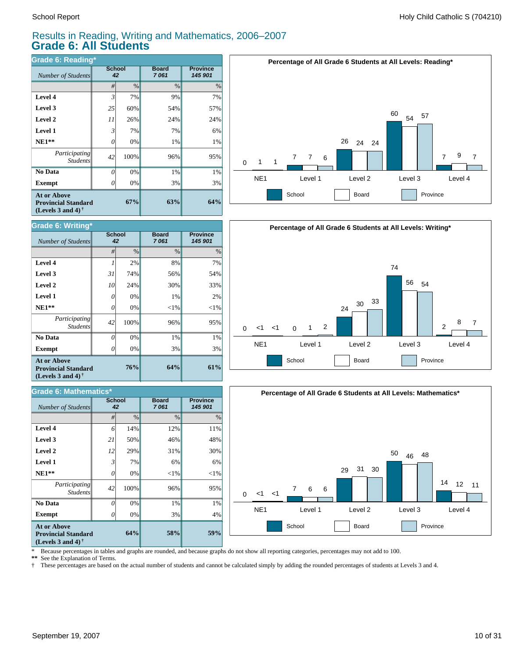### Results in Reading, Writing and Mathematics, 2006–2007 **Grade 6: All Students**

| Grade 6: Reading*                                                                                    |                |               |                      |                            |  |  |  |  |
|------------------------------------------------------------------------------------------------------|----------------|---------------|----------------------|----------------------------|--|--|--|--|
| Number of Students                                                                                   | School<br>42   |               | <b>Board</b><br>7061 | <b>Province</b><br>145 901 |  |  |  |  |
|                                                                                                      | #              | $\frac{0}{0}$ | $\frac{0}{0}$        | $\%$                       |  |  |  |  |
| Level 4                                                                                              | $\overline{3}$ | 7%            | 9%                   | 7%                         |  |  |  |  |
| Level 3                                                                                              | 25             | 60%           | 54%                  | 57%                        |  |  |  |  |
| Level 2                                                                                              | 11             | 26%           | 24%                  | 24%                        |  |  |  |  |
| <b>Level 1</b>                                                                                       | 3              | 7%            | 7%                   | 6%                         |  |  |  |  |
| $NE1**$                                                                                              | 0              | 0%            | 1%                   | 1%                         |  |  |  |  |
| Participating<br><b>Students</b>                                                                     | 42             | 100%          | 96%                  | 95%                        |  |  |  |  |
| No Data                                                                                              | $\theta$       | 0%            | 1%                   | 1%                         |  |  |  |  |
| <b>Exempt</b>                                                                                        | Ω              | 0%            | 3%                   | 3%                         |  |  |  |  |
| <b>At or Above</b><br><b>Provincial Standard</b><br>(Levels 3 and 4) <sup><math>\dagger</math></sup> | 67%            | 63%           | 64%                  |                            |  |  |  |  |



| Grade 6: Writing*                                                                                    |                     |      |                      |                            |  |  |  |  |
|------------------------------------------------------------------------------------------------------|---------------------|------|----------------------|----------------------------|--|--|--|--|
| Number of Students                                                                                   | <b>School</b><br>42 |      | <b>Board</b><br>7061 | <b>Province</b><br>145 901 |  |  |  |  |
|                                                                                                      | #                   | $\%$ | $\%$                 | $\%$                       |  |  |  |  |
| Level 4                                                                                              |                     | 2%   | 8%                   | 7%                         |  |  |  |  |
| Level 3                                                                                              | 31                  | 74%  | 56%                  | 54%                        |  |  |  |  |
| Level 2                                                                                              | 10                  | 24%  | 30%                  | 33%                        |  |  |  |  |
| Level 1                                                                                              | 0                   | 0%   | 1%                   | 2%                         |  |  |  |  |
| $NE1**$                                                                                              | 0                   | 0%   | $<$ 1%               | $<$ 1%                     |  |  |  |  |
| Participating<br><b>Students</b>                                                                     | 42                  | 100% | 96%                  | 95%                        |  |  |  |  |
| No Data                                                                                              | O                   | 0%   | 1%                   | 1%                         |  |  |  |  |
| <b>Exempt</b>                                                                                        | N                   | 0%   | 3%                   | 3%                         |  |  |  |  |
| <b>At or Above</b><br><b>Provincial Standard</b><br>(Levels 3 and 4) <sup><math>\dagger</math></sup> | 76%                 | 64%  | 61%                  |                            |  |  |  |  |

| Grade 6: Mathematics*                                                                                       |          |                     |                      |                            |  |  |  |  |
|-------------------------------------------------------------------------------------------------------------|----------|---------------------|----------------------|----------------------------|--|--|--|--|
| <b>Number of Students</b>                                                                                   |          | <b>School</b><br>42 | <b>Board</b><br>7061 | <b>Province</b><br>145 901 |  |  |  |  |
|                                                                                                             | #        | $\%$                | $\%$                 | $\%$                       |  |  |  |  |
| Level 4                                                                                                     | 6        | 14%                 | 12%                  | 11%                        |  |  |  |  |
| Level 3                                                                                                     | 21       | 50%                 | 46%                  | 48%                        |  |  |  |  |
| Level 2                                                                                                     | 12       | 29%                 | 31%                  | 30%                        |  |  |  |  |
| Level 1                                                                                                     | 3        | 7%                  | 6%                   | 6%                         |  |  |  |  |
| $NE1**$                                                                                                     | $\theta$ | 0%                  | $<$ 1%               | ${<}1\%$                   |  |  |  |  |
| Participating<br><b>Students</b>                                                                            | 42       | 100%                | 96%                  | 95%                        |  |  |  |  |
| No Data                                                                                                     | $\Omega$ | 0%                  | 1%                   | 1%                         |  |  |  |  |
| <b>Exempt</b>                                                                                               | 0        | 0%                  | 3%                   | 4%                         |  |  |  |  |
| <b>At or Above</b><br>64%<br><b>Provincial Standard</b><br>(Levels 3 and 4) <sup><math>\dagger</math></sup> |          |                     | 58%                  | 59%                        |  |  |  |  |





\* Because percentages in tables and graphs are rounded, and because graphs do not show all reporting categories, percentages may not add to 100.

**\*\*** See the Explanation of Terms.

† These percentages are based on the actual number of students and cannot be calculated simply by adding the rounded percentages of students at Levels 3 and 4.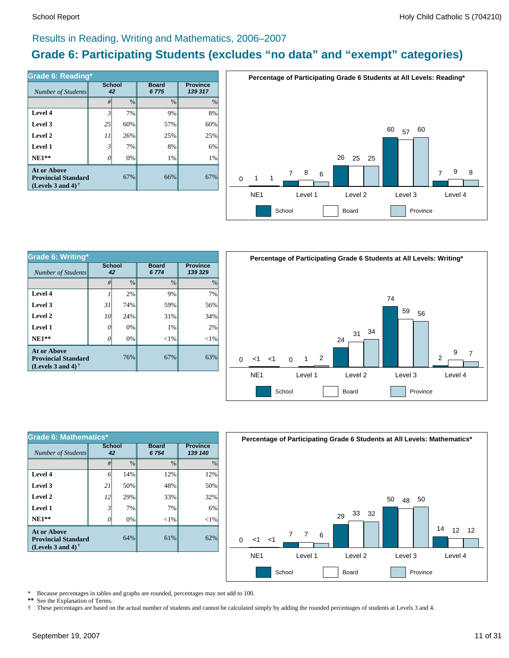#### Results in Reading, Writing and Mathematics, 2006–2007

### **Grade 6: Participating Students (excludes "no data" and "exempt" categories)**

| Grade 6: Reading*                                                              |                     |      |                      |                            |  |  |  |  |
|--------------------------------------------------------------------------------|---------------------|------|----------------------|----------------------------|--|--|--|--|
| Number of Students                                                             | <b>School</b><br>42 |      | <b>Board</b><br>6775 | <b>Province</b><br>139 317 |  |  |  |  |
|                                                                                | #                   | $\%$ | $\frac{0}{0}$        | $\%$                       |  |  |  |  |
| Level 4                                                                        | $\mathfrak{Z}$      | 7%   | 9%                   | 8%                         |  |  |  |  |
| Level 3                                                                        | 25                  | 60%  | 57%                  | 60%                        |  |  |  |  |
| Level 2                                                                        | 11                  | 26%  | 25%                  | 25%                        |  |  |  |  |
| Level 1                                                                        | $\mathfrak{Z}$      | 7%   | 8%                   | 6%                         |  |  |  |  |
| $NE1**$                                                                        | 0                   | 0%   | $1\%$                | 1%                         |  |  |  |  |
| <b>At or Above</b><br><b>Provincial Standard</b><br>(Levels 3 and 4) $\dagger$ | 67%                 | 66%  | 67%                  |                            |  |  |  |  |



| Grade 6: Writing*                                                 |                     |               |                      |                            |  |  |  |  |
|-------------------------------------------------------------------|---------------------|---------------|----------------------|----------------------------|--|--|--|--|
| Number of Students                                                | <b>School</b><br>42 |               | <b>Board</b><br>6774 | <b>Province</b><br>139 329 |  |  |  |  |
|                                                                   | #                   | $\frac{0}{0}$ | $\frac{0}{0}$        | $\frac{0}{0}$              |  |  |  |  |
| Level 4                                                           |                     | 2%            | 9%                   | 7%                         |  |  |  |  |
| Level 3                                                           | 31                  | 74%           | 59%                  | 56%                        |  |  |  |  |
| Level 2                                                           | 10                  | 24%           | 31%                  | 34%                        |  |  |  |  |
| Level 1                                                           | 0                   | 0%            | 1%                   | 2%                         |  |  |  |  |
| $NE1**$                                                           |                     | 0%            | ${<}1\%$             | $<$ 1%                     |  |  |  |  |
| At or Above<br><b>Provincial Standard</b><br>(Levels 3 and 4) $†$ |                     | 76%           | 67%                  | 63%                        |  |  |  |  |



| Grade 6: Mathematics*                                                          |                     |               |                      |                            |  |  |  |  |
|--------------------------------------------------------------------------------|---------------------|---------------|----------------------|----------------------------|--|--|--|--|
| Number of Students                                                             | <b>School</b><br>42 |               | <b>Board</b><br>6754 | <b>Province</b><br>139 140 |  |  |  |  |
|                                                                                | #                   | $\frac{0}{0}$ | $\frac{0}{0}$        | $\%$                       |  |  |  |  |
| Level 4                                                                        | 6                   | 14%           | 12%                  | 12%                        |  |  |  |  |
| Level 3                                                                        | 21                  | 50%           | 48%                  | 50%                        |  |  |  |  |
| Level 2                                                                        | 12                  | 29%           | 33%                  | 32%                        |  |  |  |  |
| Level 1                                                                        | $\mathfrak{Z}$      | 7%            | 7%                   | 6%                         |  |  |  |  |
| $NE1**$                                                                        | 0                   | 0%            | $<$ 1%               | ${<}1\%$                   |  |  |  |  |
| At or Above<br>64%<br><b>Provincial Standard</b><br>(Levels 3 and 4) $\dagger$ |                     |               | 61%                  | 62%                        |  |  |  |  |



\* Because percentages in tables and graphs are rounded, percentages may not add to 100.<br>\*\* See the Explanation of Terms

See the Explanation of Terms. † These percentages are based on the actual number of students and cannot be calculated simply by adding the rounded percentages of students at Levels 3 and 4.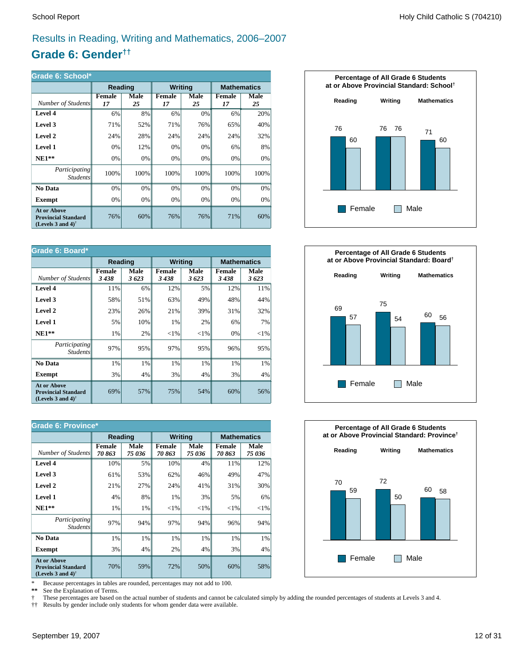## Results in Reading, Writing and Mathematics, 2006–2007

### **Grade 6: Gender††**

| Grade 6: School*                                                               |                     |            |                |            |                     |            |  |  |  |
|--------------------------------------------------------------------------------|---------------------|------------|----------------|------------|---------------------|------------|--|--|--|
|                                                                                | Reading             |            | <b>Writing</b> |            | <b>Mathematics</b>  |            |  |  |  |
| Number of Students                                                             | <b>Female</b><br>17 | Male<br>25 | Female<br>17   | Male<br>25 | <b>Female</b><br>17 | Male<br>25 |  |  |  |
| Level 4                                                                        | 6%                  | 8%         | 6%             | 0%         | 6%                  | 20%        |  |  |  |
| Level 3                                                                        | 71%                 | 52%        | 71%            | 76%        | 65%                 | 40%        |  |  |  |
| Level 2                                                                        | 24%                 | 28%        | 24%            | 24%        | 24%                 | 32%        |  |  |  |
| <b>Level 1</b>                                                                 | 0%                  | 12%        | 0%             | 0%         | 6%                  | 8%         |  |  |  |
| $NE1**$                                                                        | 0%                  | 0%         | 0%             | 0%         | 0%                  | 0%         |  |  |  |
| Participating<br><i>Students</i>                                               | 100%                | 100%       | 100%           | 100%       | 100%                | 100%       |  |  |  |
| <b>No Data</b>                                                                 | 0%                  | $0\%$      | 0%             | 0%         | 0%                  | 0%         |  |  |  |
| <b>Exempt</b>                                                                  | 0%                  | 0%         | 0%             | 0%         | 0%                  | 0%         |  |  |  |
| <b>At or Above</b><br><b>Provincial Standard</b><br>(Levels 3 and 4) $\bar{ }$ | 76%                 | 60%        | 76%            | 76%        | 71%                 | 60%        |  |  |  |

| Grade 6: Board*                                                                |                       |              |                       |              |                       |                    |  |  |
|--------------------------------------------------------------------------------|-----------------------|--------------|-----------------------|--------------|-----------------------|--------------------|--|--|
|                                                                                | Reading               |              | <b>Writing</b>        |              |                       | <b>Mathematics</b> |  |  |
| Number of Students                                                             | <b>Female</b><br>3438 | Male<br>3623 | <b>Female</b><br>3438 | Male<br>3623 | <b>Female</b><br>3438 | Male<br>3623       |  |  |
| Level 4                                                                        | 11%                   | 6%           | 12%                   | 5%           | 12%                   | 11%                |  |  |
| Level 3                                                                        | 58%                   | 51%          | 63%                   | 49%          | 48%                   | 44%                |  |  |
| Level 2                                                                        | 23%                   | 26%          | 21%                   | 39%          | 31%                   | 32%                |  |  |
| <b>Level 1</b>                                                                 | 5%                    | 10%          | 1%                    | 2%           | 6%                    | 7%                 |  |  |
| $NE1**$                                                                        | 1%                    | 2%           | ${<}1\%$              | ${<}1\%$     | 0%                    | ${<}1\%$           |  |  |
| Participating<br><b>Students</b>                                               | 97%                   | 95%          | 97%                   | 95%          | 96%                   | 95%                |  |  |
| No Data                                                                        | 1%                    | 1%           | 1%                    | 1%           | 1%                    | 1%                 |  |  |
| Exempt                                                                         | 3%                    | 4%           | 3%                    | 4%           | 3%                    | 4%                 |  |  |
| <b>At or Above</b><br><b>Provincial Standard</b><br>(Levels 3 and 4) $\dagger$ | 69%                   | 57%          | 75%                   | 54%          | 60%                   | 56%                |  |  |

| <b>Grade 6: Province*</b>                                                      |                        |                |                        |                |                    |                |  |  |
|--------------------------------------------------------------------------------|------------------------|----------------|------------------------|----------------|--------------------|----------------|--|--|
|                                                                                | Reading                |                | <b>Writing</b>         |                | <b>Mathematics</b> |                |  |  |
| Number of Students                                                             | <b>Female</b><br>70863 | Male<br>75 036 | <b>Female</b><br>70863 | Male<br>75 036 | Female<br>70863    | Male<br>75 036 |  |  |
| Level 4                                                                        | 10%                    | 5%             | 10%                    | 4%             | 11%                | 12%            |  |  |
| Level 3                                                                        | 61%                    | 53%            | 62%                    | 46%            | 49%                | 47%            |  |  |
| Level 2                                                                        | 21%                    | 27%            | 24%                    | 41%            | 31%                | 30%            |  |  |
| Level 1                                                                        | 4%                     | 8%             | 1%                     | 3%             | 5%                 | 6%             |  |  |
| $NE1**$                                                                        | 1%                     | 1%             | ${<}1\%$               | ${<}1\%$       | ${<}1\%$           | ${<}1\%$       |  |  |
| <i>Participating</i><br><i>Students</i>                                        | 97%                    | 94%            | 97%                    | 94%            | 96%                | 94%            |  |  |
| No Data                                                                        | 1%                     | 1%             | 1%                     | 1%             | 1%                 | $1\%$          |  |  |
| <b>Exempt</b>                                                                  | 3%                     | 4%             | 2%                     | 4%             | 3%                 | $4\%$          |  |  |
| <b>At or Above</b><br><b>Provincial Standard</b><br>(Levels 3 and 4) $\dagger$ | 70%                    | 59%            | 72%                    | 50%            | 60%                | 58%            |  |  |

\* Because percentages in tables are rounded, percentages may not add to 100.<br>\*\* See the Explanation of Terms.

See the Explanation of Terms.

† These percentages are based on the actual number of students and cannot be calculated simply by adding the rounded percentages of students at Levels 3 and 4.<br>†† Results by gender include only students for whom gender dat

†† Results by gender include only students for whom gender data were available.





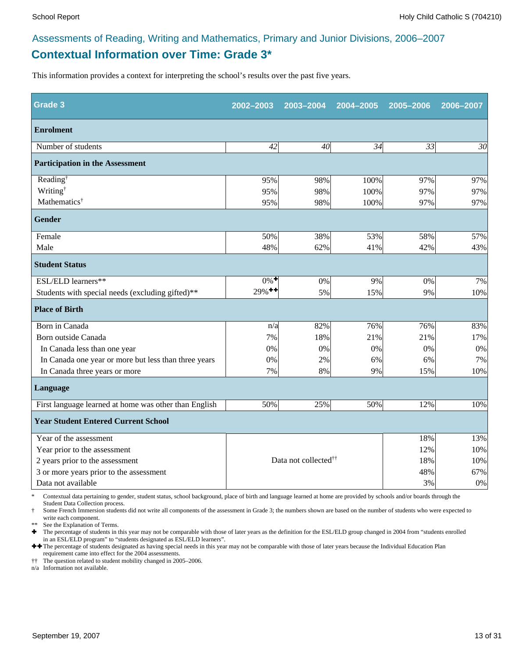### **Contextual Information over Time: Grade 3\*** Assessments of Reading, Writing and Mathematics, Primary and Junior Divisions, 2006–2007

This information provides a context for interpreting the school's results over the past five years.

| <b>Grade 3</b>                                        | 2002-2003            | 2003-2004                        | 2004-2005 | 2005-2006 | 2006-2007 |
|-------------------------------------------------------|----------------------|----------------------------------|-----------|-----------|-----------|
| <b>Enrolment</b>                                      |                      |                                  |           |           |           |
| Number of students                                    | 42                   | 40                               | 34        | 33        | 30        |
| <b>Participation in the Assessment</b>                |                      |                                  |           |           |           |
| Reading <sup>†</sup>                                  | 95%                  | 98%                              | 100%      | 97%       | 97%       |
| Writing <sup>†</sup>                                  | 95%                  | 98%                              | 100%      | 97%       | 97%       |
| Mathematics <sup>†</sup>                              | 95%                  | 98%                              | 100%      | 97%       | 97%       |
| <b>Gender</b>                                         |                      |                                  |           |           |           |
| Female                                                | 50%                  | 38%                              | 53%       | 58%       | 57%       |
| Male                                                  | 48%                  | 62%                              | 41%       | 42%       | 43%       |
| <b>Student Status</b>                                 |                      |                                  |           |           |           |
| ESL/ELD learners**                                    | $0\%$ <sup>+</sup>   | 0%                               | 9%        | 0%        | 7%        |
| Students with special needs (excluding gifted)**      | $29\%$ <sup>++</sup> | 5%                               | 15%       | 9%        | 10%       |
| <b>Place of Birth</b>                                 |                      |                                  |           |           |           |
| Born in Canada                                        | n/a                  | 82%                              | 76%       | 76%       | 83%       |
| Born outside Canada                                   | 7%                   | 18%                              | 21%       | 21%       | 17%       |
| In Canada less than one year                          | 0%                   | 0%                               | 0%        | 0%        | $0\%$     |
| In Canada one year or more but less than three years  | 0%                   | 2%                               | 6%        | 6%        | 7%        |
| In Canada three years or more                         | 7%                   | 8%                               | 9%        | 15%       | 10%       |
| Language                                              |                      |                                  |           |           |           |
| First language learned at home was other than English | 50%                  | 25%                              | 50%       | 12%       | 10%       |
| <b>Year Student Entered Current School</b>            |                      |                                  |           |           |           |
| Year of the assessment                                |                      |                                  |           | 18%       | 13%       |
| Year prior to the assessment                          |                      |                                  |           | 12%       | 10%       |
| 2 years prior to the assessment                       |                      | Data not collected <sup>††</sup> |           | 18%       | 10%       |
| 3 or more years prior to the assessment               |                      |                                  |           | 48%       | 67%       |
| Data not available                                    |                      |                                  |           | 3%        | $0\%$     |

\* Contextual data pertaining to gender, student status, school background, place of birth and language learned at home are provided by schools and/or boards through the Student Data Collection process.

Some French Immersion students did not write all components of the assessment in Grade 3; the numbers shown are based on the number of students who were expected to write each component.

See the Explanation of Terms.

Ì The percentage of students in this year may not be comparable with those of later years as the definition for the ESL/ELD group changed in 2004 from "students enrolled in an ESL/ELD program" to "students designated as ESL/ELD learners".

++ The percentage of students designated as having special needs in this year may not be comparable with those of later years because the Individual Education Plan requirement came into effect for the 2004 assessments.

†† The question related to student mobility changed in 2005–2006.

n/a Information not available.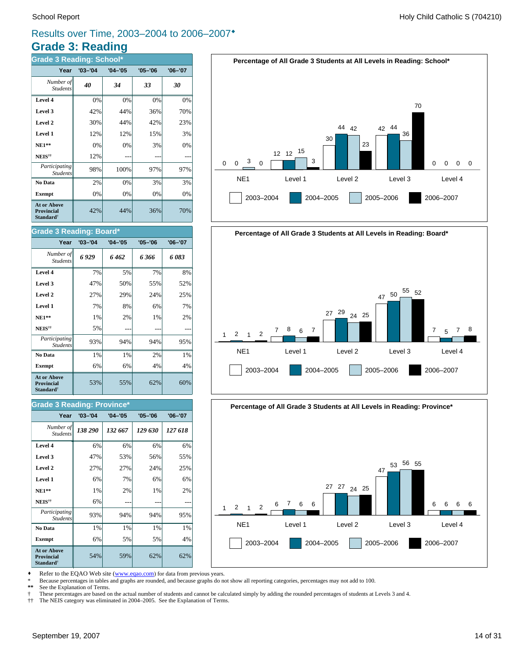### **Grade 3: Reading** Results over Time, 2003–2004 to 2006–2007<sup>\*</sup>

| <b>Grade 3 Reading: School*</b>                                  |             |             |             |             |  |  |
|------------------------------------------------------------------|-------------|-------------|-------------|-------------|--|--|
| Year                                                             | $'03 - '04$ | $'04 - '05$ | $'05 - '06$ | $'06 - '07$ |  |  |
| Number of<br><b>Students</b>                                     | 40          | 34          | 33          | 30          |  |  |
| Level 4                                                          | 0%          | 0%          | 0%          | 0%          |  |  |
| Level 3                                                          | 42%         | 44%         | 36%         | 70%         |  |  |
| Level 2                                                          | 30%         | 44%         | 42%         | 23%         |  |  |
| Level 1                                                          | 12%         | 12%         | 15%         | 3%          |  |  |
| <b>NE1**</b>                                                     | 0%          | 0%          | 3%          | 0%          |  |  |
| NEIS <sup>††</sup>                                               | 12%         |             |             |             |  |  |
| Participating<br><b>Students</b>                                 | 98%         | 100%        | 97%         | 97%         |  |  |
| No Data                                                          | 2%          | 0%          | 3%          | 3%          |  |  |
| <b>Exempt</b>                                                    | 0%          | 0%          | 0%          | 0%          |  |  |
| At or Above<br><b>Provincial</b><br><b>Standard</b> <sup>†</sup> | 42%         | 44%         | 36%         | 70%         |  |  |

#### **Grade 3 Reading: Board\***

| Year                                                                    | $'03 - '04$ | $'04 - '05$ | $'05 - '06$ | $'06 - '07$ |
|-------------------------------------------------------------------------|-------------|-------------|-------------|-------------|
| Number of<br><b>Students</b>                                            | 6929        | 6 462       | 6366        | 6083        |
| Level 4                                                                 | 7%          | 5%          | 7%          | 8%          |
| Level 3                                                                 | 47%         | 50%         | 55%         | 52%         |
| Level 2                                                                 | 27%         | 29%         | 24%         | 25%         |
| Level 1                                                                 | 7%          | 8%          | 6%          | 7%          |
| $NE1**$                                                                 | 1%          | 2%          | 1%          | 2%          |
| NEIS <sup>††</sup>                                                      | 5%          |             |             |             |
| Participating<br><b>Students</b>                                        | 93%         | 94%         | 94%         | 95%         |
| No Data                                                                 | 1%          | 1%          | 2%          | 1%          |
| <b>Exempt</b>                                                           | 6%          | 6%          | 4%          | 4%          |
| <b>At or Above</b><br><b>Provincial</b><br><b>Standard</b> <sup>†</sup> | 53%         | 55%         | 62%         | 60%         |

#### **Grade 3 Reading: Province\***

| Year                                                                    | $'03 - '04$ | $'04 - '05$ | $'05 - '06$ | $'06 - '07$ |
|-------------------------------------------------------------------------|-------------|-------------|-------------|-------------|
| Number of<br><b>Students</b>                                            | 138 290     | 132 667     | 129 630     | 127 618     |
| Level 4                                                                 | 6%          | 6%          | 6%          | 6%          |
| Level 3                                                                 | 47%         | 53%         | 56%         | 55%         |
| Level 2                                                                 | 27%         | 27%         | 24%         | 25%         |
| Level 1                                                                 | 6%          | 7%          | 6%          | 6%          |
| <b>NE1**</b>                                                            | 1%          | 2%          | 1%          | 2%          |
| NEIS <sup>††</sup>                                                      | 6%          |             |             |             |
| Participating<br><b>Students</b>                                        | 93%         | 94%         | 94%         | 95%         |
| No Data                                                                 | 1%          | 1%          | 1%          | 1%          |
| <b>Exempt</b>                                                           | 6%          | 5%          | 5%          | 4%          |
| <b>At or Above</b><br><b>Provincial</b><br><b>Standard</b> <sup>†</sup> | 54%         | 59%         | 62%         | 62%         |





#### **Percentage of All Grade 3 Students at All Levels in Reading: Province\***



Refer to the EQAO Web site (www.eqao.com) for data from previous years.

\* Because percentages in tables and graphs are rounded, and because graphs do not show all reporting categories, percentages may not add to 100.

See the Explanation of Terms.

† These percentages are based on the actual number of students and cannot be calculated simply by adding the rounded percentages of students at Levels 3 and 4.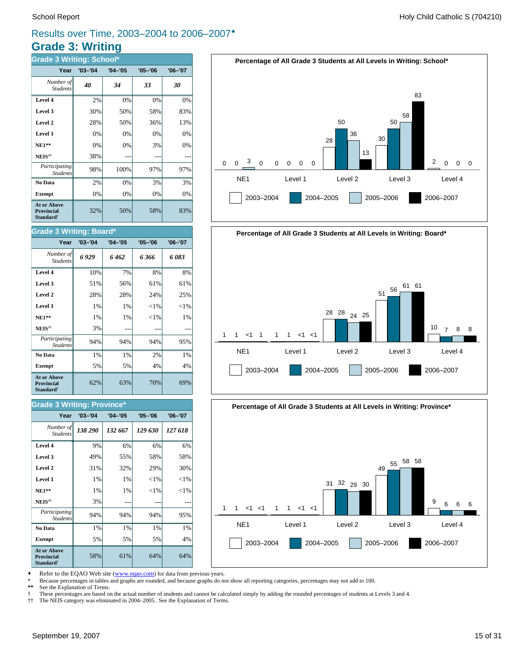### **Grade 3: Writing** Results over Time, 2003–2004 to 2006–2007<sup>\*</sup>

| <b>Grade 3 Writing: School*</b>                                         |             |             |             |             |  |  |
|-------------------------------------------------------------------------|-------------|-------------|-------------|-------------|--|--|
| Year                                                                    | $'03 - '04$ | $'04 - '05$ | $'05 - '06$ | $'06 - '07$ |  |  |
| Number of<br><b>Students</b>                                            | 40          | 34          | 33          | 30          |  |  |
| Level 4                                                                 | 2%          | 0%          | 0%          | 0%          |  |  |
| Level 3                                                                 | 30%         | 50%         | 58%         | 83%         |  |  |
| Level 2                                                                 | 28%         | 50%         | 36%         | 13%         |  |  |
| Level 1                                                                 | 0%          | 0%          | 0%          | 0%          |  |  |
| $NE1**$                                                                 | 0%          | 0%          | 3%          | 0%          |  |  |
| NEIS <sup>††</sup>                                                      | 38%         |             |             |             |  |  |
| Participating<br><b>Students</b>                                        | 98%         | 100%        | 97%         | 97%         |  |  |
| No Data                                                                 | 2%          | 0%          | 3%          | 3%          |  |  |
| <b>Exempt</b>                                                           | 0%          | 0%          | 0%          | 0%          |  |  |
| <b>At or Above</b><br><b>Provincial</b><br><b>Standard</b> <sup>†</sup> | 32%         | 50%         | 58%         | 83%         |  |  |

#### **Grade 3 Writing: Board\***

| Year                                                                    | $'03 - '04$ | $'04 - '05$ | $'05 - '06$ | $'06 - '07$ |
|-------------------------------------------------------------------------|-------------|-------------|-------------|-------------|
| Number of<br><b>Students</b>                                            | 6929        | 6462        | 6 366       | 6 083       |
| Level 4                                                                 | 10%         | 7%          | 8%          | 8%          |
| Level 3                                                                 | 51%         | 56%         | 61%         | 61%         |
| Level 2                                                                 | 28%         | 28%         | 24%         | 25%         |
| Level 1                                                                 | $1\%$       | $1\%$       | ${<}1\%$    | ${<}1\%$    |
| $NE1**$                                                                 | 1%          | 1%          | ${<}1\%$    | 1%          |
| NEIS <sup>††</sup>                                                      | 3%          |             |             |             |
| Participating<br><b>Students</b>                                        | 94%         | 94%         | 94%         | 95%         |
| No Data                                                                 | 1%          | 1%          | 2%          | 1%          |
| <b>Exempt</b>                                                           | 5%          | 5%          | 4%          | 4%          |
| <b>At or Above</b><br><b>Provincial</b><br><b>Standard</b> <sup>†</sup> | 62%         | 63%         | 70%         | 69%         |

#### **Grade 3 Writing: Province\***

| Year                                                                    | $'03 - '04$ | $'04 - '05$ | $'05 - '06$ | $'06 - '07$ |
|-------------------------------------------------------------------------|-------------|-------------|-------------|-------------|
| Number of<br><b>Students</b>                                            | 138 290     | 132 667     | 129 630     | 127 618     |
| Level 4                                                                 | 9%          | 6%          | 6%          | 6%          |
| Level 3                                                                 | 49%         | 55%         | 58%         | 58%         |
| Level 2                                                                 | 31%         | 32%         | 29%         | 30%         |
| Level 1                                                                 | 1%          | 1%          | ${<}1\%$    | ${<}1\%$    |
| $NE1**$                                                                 | $1\%$       | 1%          | $<$ 1%      | ${<}1\%$    |
| NEIS <sup>††</sup>                                                      | 3%          |             |             |             |
| Participating<br><b>Students</b>                                        | 94%         | 94%         | 94%         | 95%         |
| No Data                                                                 | 1%          | 1%          | 1%          | 1%          |
| <b>Exempt</b>                                                           | 5%          | 5%          | 5%          | 4%          |
| <b>At or Above</b><br><b>Provincial</b><br><b>Standard</b> <sup>†</sup> | 58%         | 61%         | 64%         | 64%         |







Refer to the EQAO Web site (www.eqao.com) for data from previous years.

\* Because percentages in tables and graphs are rounded, and because graphs do not show all reporting categories, percentages may not add to 100.

See the Explanation of Terms.

† These percentages are based on the actual number of students and cannot be calculated simply by adding the rounded percentages of students at Levels 3 and 4.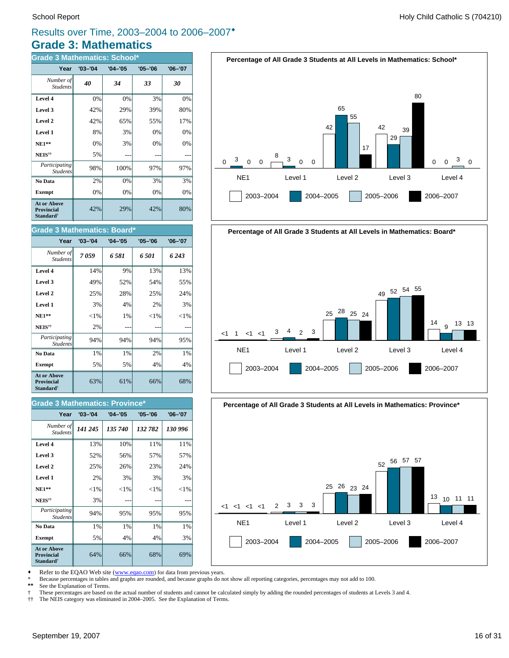### **Grade 3: Mathematics** Results over Time, 2003–2004 to 2006–2007<sup>\*</sup>

| <b>Grade 3 Mathematics: School*</b>                              |             |             |             |             |  |
|------------------------------------------------------------------|-------------|-------------|-------------|-------------|--|
| Year                                                             | $'03 - '04$ | $'04 - '05$ | $'05 - '06$ | $'06 - '07$ |  |
| Number of<br><b>Students</b>                                     | 40          | 34          | 33          | 30          |  |
| Level 4                                                          | 0%          | 0%          | 3%          | 0%          |  |
| Level 3                                                          | 42%         | 29%         | 39%         | 80%         |  |
| Level 2                                                          | 42%         | 65%         | 55%         | 17%         |  |
| Level 1                                                          | 8%          | 3%          | 0%          | 0%          |  |
| $NE1**$                                                          | 0%          | 3%          | 0%          | 0%          |  |
| $\mathbf{NEIS}^{\dagger\dagger}$                                 | 5%          |             |             |             |  |
| Participating<br><b>Students</b>                                 | 98%         | 100%        | 97%         | 97%         |  |
| No Data                                                          | 2%          | 0%          | 3%          | 3%          |  |
| <b>Exempt</b>                                                    | 0%          | 0%          | 0%          | 0%          |  |
| <b>At or Above</b><br>Provincial<br><b>Standard</b> <sup>†</sup> | 42%         | 29%         | 42%         | 80%         |  |

#### **Grade 3 Mathematics: Board\***

| Year                                                                    | $'03 - '04$ | $'04 - '05$ | $'05 - '06$ | $'06 - '07$ |
|-------------------------------------------------------------------------|-------------|-------------|-------------|-------------|
| Number of<br><b>Students</b>                                            | 7059        | 6581        | 6501        | 6 243       |
| Level 4                                                                 | 14%         | 9%          | 13%         | 13%         |
| Level 3                                                                 | 49%         | 52%         | 54%         | 55%         |
| Level 2                                                                 | 25%         | 28%         | 25%         | 24%         |
| Level 1                                                                 | 3%          | 4%          | 2%          | 3%          |
| $NE1**$                                                                 | ${<}1\%$    | 1%          | ${<}1\%$    | ${<}1\%$    |
| NEIS <sup>††</sup>                                                      | 2%          |             |             |             |
| Participating<br><b>Students</b>                                        | 94%         | 94%         | 94%         | 95%         |
| No Data                                                                 | 1%          | $1\%$       | 2%          | 1%          |
| <b>Exempt</b>                                                           | 5%          | 5%          | 4%          | 4%          |
| <b>At or Above</b><br><b>Provincial</b><br><b>Standard</b> <sup>†</sup> | 63%         | 61%         | 66%         | 68%         |

#### **Level 3**  $\begin{vmatrix} 52\% & 56\% \end{vmatrix}$  57% 57% **Level 4** 13% 10% 11% 11% *141 245 135 740 132 782 130 996 Number of Students* **Year '03–'04 '04–'05 '05–'06 '06–'07 Grade 3 Mathematics: Province\***

| Level 2                                                          | 25%      | 26%      | 23%      | 24%      |
|------------------------------------------------------------------|----------|----------|----------|----------|
| Level 1                                                          | 2%       | 3%       | 3%       | 3%       |
| <b>NE1**</b>                                                     | ${<}1\%$ | ${<}1\%$ | ${<}1\%$ | ${<}1\%$ |
| NEIS <sup>††</sup>                                               | 3%       |          |          |          |
| Participating<br><b>Students</b>                                 | 94%      | 95%      | 95%      | 95%      |
| No Data                                                          | 1%       | $1\%$    | 1%       | 1%       |
| <b>Exempt</b>                                                    | 5%       | 4%       | 4%       | 3%       |
| At or Above<br><b>Provincial</b><br><b>Standard</b> <sup>†</sup> | 64%      | 66%      | 68%      | 69%      |





#### **Percentage of All Grade 3 Students at All Levels in Mathematics: Province\***



Refer to the EQAO Web site (www.eqao.com) for data from previous years.

\* Because percentages in tables and graphs are rounded, and because graphs do not show all reporting categories, percentages may not add to 100.

See the Explanation of Terms.

† These percentages are based on the actual number of students and cannot be calculated simply by adding the rounded percentages of students at Levels 3 and 4.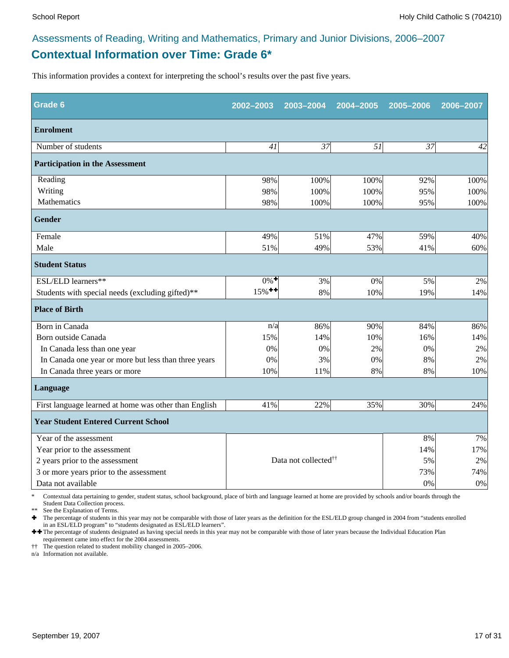### **Contextual Information over Time: Grade 6\*** Assessments of Reading, Writing and Mathematics, Primary and Junior Divisions, 2006–2007

This information provides a context for interpreting the school's results over the past five years.

| Grade 6                                               | 2002-2003            | 2003-2004                        | 2004-2005 | 2005-2006 | 2006-2007 |
|-------------------------------------------------------|----------------------|----------------------------------|-----------|-----------|-----------|
| <b>Enrolment</b>                                      |                      |                                  |           |           |           |
| Number of students                                    | 41                   | $\overline{37}$                  | 51        | 37        | 42        |
| <b>Participation in the Assessment</b>                |                      |                                  |           |           |           |
| Reading                                               | 98%                  | 100%                             | 100%      | 92%       | 100%      |
| Writing                                               | 98%                  | 100%                             | 100%      | 95%       | 100%      |
| Mathematics                                           | 98%                  | 100%                             | 100%      | 95%       | 100%      |
| <b>Gender</b>                                         |                      |                                  |           |           |           |
| Female                                                | 49%                  | 51%                              | 47%       | 59%       | 40%       |
| Male                                                  | 51%                  | 49%                              | 53%       | 41%       | 60%       |
| <b>Student Status</b>                                 |                      |                                  |           |           |           |
| ESL/ELD learners**                                    | $0\%$ <sup>+</sup>   | 3%                               | 0%        | 5%        | 2%        |
| Students with special needs (excluding gifted)**      | $15\%$ <sup>++</sup> | 8%                               | 10%       | 19%       | 14%       |
| <b>Place of Birth</b>                                 |                      |                                  |           |           |           |
| Born in Canada                                        | n/a                  | 86%                              | 90%       | 84%       | 86%       |
| Born outside Canada                                   | 15%                  | 14%                              | 10%       | 16%       | 14%       |
| In Canada less than one year                          | 0%                   | 0%                               | 2%        | 0%        | $2\%$     |
| In Canada one year or more but less than three years  | 0%                   | 3%                               | 0%        | 8%        | 2%        |
| In Canada three years or more                         | 10%                  | 11%                              | 8%        | 8%        | 10%       |
| Language                                              |                      |                                  |           |           |           |
| First language learned at home was other than English | 41%                  | 22%                              | 35%       | 30%       | 24%       |
| <b>Year Student Entered Current School</b>            |                      |                                  |           |           |           |
| Year of the assessment                                |                      |                                  |           | 8%        | 7%        |
| Year prior to the assessment                          |                      |                                  |           |           | 17%       |
| 2 years prior to the assessment                       |                      | Data not collected <sup>††</sup> |           | 5%        | $2\%$     |
| 3 or more years prior to the assessment               |                      |                                  |           | 73%       | 74%       |
| Data not available                                    |                      |                                  |           | 0%        | $0\%$     |

\* Contextual data pertaining to gender, student status, school background, place of birth and language learned at home are provided by schools and/or boards through the Student Data Collection process.

\*\* See the Explanation of Terms.<br> $\bullet$  The percentage of students in t

Ì The percentage of students in this year may not be comparable with those of later years as the definition for the ESL/ELD group changed in 2004 from "students enrolled in an ESL/ELD program" to "students designated as ESL/ELD learners".

++ The percentage of students designated as having special needs in this year may not be comparable with those of later years because the Individual Education Plan requirement came into effect for the 2004 assessments.

†† The question related to student mobility changed in 2005–2006.

n/a Information not available.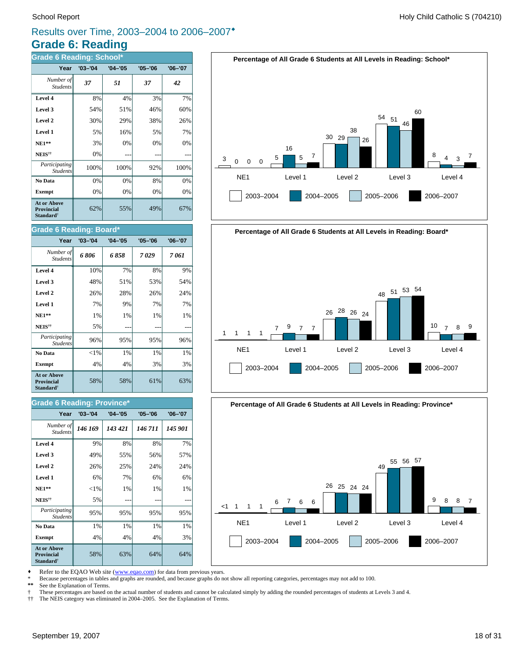### **Grade 6: Reading** Results over Time, 2003–2004 to 2006–2007<sup>\*</sup>

| <b>Grade 6 Reading: School*</b>                                         |             |             |             |             |  |  |
|-------------------------------------------------------------------------|-------------|-------------|-------------|-------------|--|--|
| Year                                                                    | $'03 - '04$ | $'04 - '05$ | $'05 - '06$ | $'06 - '07$ |  |  |
| Number of<br><b>Students</b>                                            | 37          | 51          | 37          | 42          |  |  |
| Level 4                                                                 | 8%          | 4%          | 3%          | 7%          |  |  |
| Level 3                                                                 | 54%         | 51%         | 46%         | 60%         |  |  |
| Level 2                                                                 | 30%         | 29%         | 38%         | 26%         |  |  |
| Level 1                                                                 | 5%          | 16%         | 5%          | 7%          |  |  |
| $NE1**$                                                                 | 3%          | 0%          | 0%          | 0%          |  |  |
| NEIS <sup>††</sup>                                                      | 0%          |             |             |             |  |  |
| Participating<br><b>Students</b>                                        | 100%        | 100%        | 92%         | 100%        |  |  |
| No Data                                                                 | 0%          | 0%          | 8%          | 0%          |  |  |
| <b>Exempt</b>                                                           | 0%          | 0%          | 0%          | 0%          |  |  |
| <b>At or Above</b><br><b>Provincial</b><br><b>Standard</b> <sup>†</sup> | 62%         | 55%         | 49%         | 67%         |  |  |

#### **Grade 6 Reading: Board\***

| Year                                                                    | $'03 - '04$ | $'04 - '05$ | $'05 - '06$ | $'06 - '07$ |
|-------------------------------------------------------------------------|-------------|-------------|-------------|-------------|
| Number of<br><b>Students</b>                                            | 6806        | 6 858       | 7029        | 7 061       |
| Level 4                                                                 | 10%         | 7%          | 8%          | 9%          |
| Level 3                                                                 | 48%         | 51%         | 53%         | 54%         |
| Level 2                                                                 | 26%         | 28%         | 26%         | 24%         |
| Level 1                                                                 | 7%          | 9%          | 7%          | 7%          |
| $NE1**$                                                                 | 1%          | 1%          | 1%          | 1%          |
| NEIS <sup>††</sup>                                                      | 5%          |             |             |             |
| Participating<br><b>Students</b>                                        | 96%         | 95%         | 95%         | 96%         |
| No Data                                                                 | ${<}1\%$    | 1%          | $1\%$       | 1%          |
| <b>Exempt</b>                                                           | 4%          | 4%          | 3%          | 3%          |
| <b>At or Above</b><br><b>Provincial</b><br><b>Standard</b> <sup>†</sup> | 58%         | 58%         | 61%         | 63%         |

#### **Grade 6 Reading: Province\***

| Year                                                                    | $'03 - '04$ | $'04 - '05$ | $'05 - '06$ | $'06 - '07$ |
|-------------------------------------------------------------------------|-------------|-------------|-------------|-------------|
| Number of<br><b>Students</b>                                            | 146 169     | 143 421     | 146 711     | 145 901     |
| Level 4                                                                 | 9%          | 8%          | 8%          | 7%          |
| Level 3                                                                 | 49%         | 55%         | 56%         | 57%         |
| Level 2                                                                 | 26%         | 25%         | 24%         | 24%         |
| Level 1                                                                 | 6%          | 7%          | 6%          | 6%          |
| $NE1**$                                                                 | ${<}1\%$    | 1%          | $1\%$       | $1\%$       |
| NEIS <sup>††</sup>                                                      | 5%          |             |             |             |
| <i>Participating</i><br><b>Students</b>                                 | 95%         | 95%         | 95%         | 95%         |
| No Data                                                                 | 1%          | 1%          | 1%          | 1%          |
| <b>Exempt</b>                                                           | 4%          | 4%          | 4%          | 3%          |
| <b>At or Above</b><br><b>Provincial</b><br><b>Standard</b> <sup>†</sup> | 58%         | 63%         | 64%         | 64%         |







Refer to the EQAO Web site (www.eqao.com) for data from previous years.

\* Because percentages in tables and graphs are rounded, and because graphs do not show all reporting categories, percentages may not add to 100.

See the Explanation of Terms.

† These percentages are based on the actual number of students and cannot be calculated simply by adding the rounded percentages of students at Levels 3 and 4.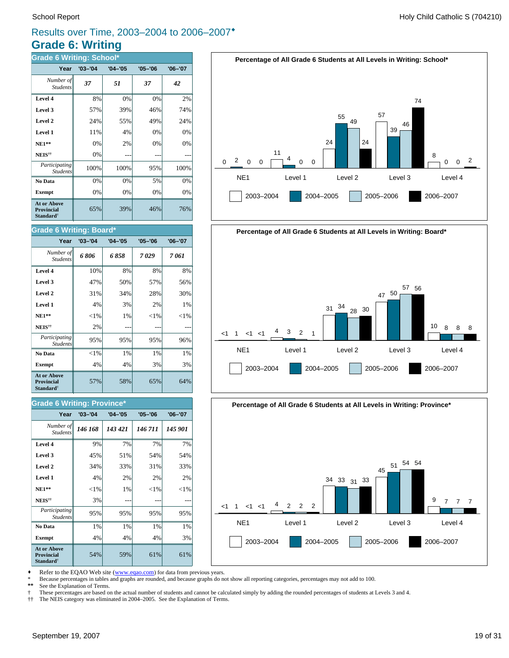### **Grade 6: Writing** Results over Time, 2003–2004 to 2006–2007<sup>\*</sup>

| <b>Grade 6 Writing: School*</b>                                         |             |             |             |             |  |  |  |  |  |
|-------------------------------------------------------------------------|-------------|-------------|-------------|-------------|--|--|--|--|--|
| Year                                                                    | $'03 - '04$ | $'04 - '05$ | $'05 - '06$ | $'06 - '07$ |  |  |  |  |  |
| Number of<br><b>Students</b>                                            | 37          | 51          | 37          | 42          |  |  |  |  |  |
| Level 4                                                                 | 8%          | 0%          | 0%          | 2%          |  |  |  |  |  |
| Level 3                                                                 | 57%         | 39%         | 46%         | 74%         |  |  |  |  |  |
| Level 2                                                                 | 24%         | 55%         | 49%         | 24%         |  |  |  |  |  |
| Level 1                                                                 | 11%         | 4%          | 0%          | 0%          |  |  |  |  |  |
| $NE1**$                                                                 | 0%          | 2%          | 0%          | 0%          |  |  |  |  |  |
| NEIS <sup>††</sup>                                                      | 0%          |             |             |             |  |  |  |  |  |
| Participating<br><b>Students</b>                                        | 100%        | 100%        | 95%         | 100%        |  |  |  |  |  |
| No Data                                                                 | 0%          | 0%          | 5%          | 0%          |  |  |  |  |  |
| <b>Exempt</b>                                                           | 0%          | 0%          | 0%          | 0%          |  |  |  |  |  |
| <b>At or Above</b><br><b>Provincial</b><br><b>Standard</b> <sup>†</sup> | 65%         | 39%         | 46%         | 76%         |  |  |  |  |  |

#### **Grade 6 Writing: Board\***

| Year                                                                    | $'03 - '04$ | $'04 - '05$ | $'05 - '06$ | $'06 - '07$ |
|-------------------------------------------------------------------------|-------------|-------------|-------------|-------------|
| Number of<br><b>Students</b>                                            | 6806        | 6858        | 7029        | 7 061       |
| Level 4                                                                 | 10%         | 8%          | 8%          | 8%          |
| Level 3                                                                 | 47%         | 50%         | 57%         | 56%         |
| Level 2                                                                 | 31%         | 34%         | 28%         | 30%         |
| Level 1                                                                 | 4%          | 3%          | 2%          | 1%          |
| $NE1**$                                                                 | ${<}1\%$    | 1%          | ${<}1\%$    | $<$ 1%      |
| NEIS <sup>††</sup>                                                      | 2%          |             |             |             |
| Participating<br><b>Students</b>                                        | 95%         | 95%         | 95%         | 96%         |
| No Data                                                                 | ${<}1\%$    | $1\%$       | $1\%$       | 1%          |
| <b>Exempt</b>                                                           | 4%          | 4%          | 3%          | 3%          |
| <b>At or Above</b><br><b>Provincial</b><br><b>Standard</b> <sup>†</sup> | 57%         | 58%         | 65%         | 64%         |

#### **Grade 6 Writing: Province**<sup>\*</sup>

| Year                                                                    | $'03 - '04$ | $'04 - '05$ | $'05 - '06$ | $'06 - '07$ |
|-------------------------------------------------------------------------|-------------|-------------|-------------|-------------|
| Number of<br><b>Students</b>                                            | 146 168     | 143 421     | 146 711     | 145 901     |
| Level 4                                                                 | 9%          | 7%          | 7%          | 7%          |
| Level 3                                                                 | 45%         | 51%         | 54%         | 54%         |
| Level 2                                                                 | 34%         | 33%         | 31%         | 33%         |
| Level 1                                                                 | 4%          | 2%          | 2%          | 2%          |
| $NE1**$                                                                 | ${<}1\%$    | 1%          | ${<}1\%$    | ${<}1\%$    |
| NEIS <sup>††</sup>                                                      | 3%          |             |             |             |
| Participating<br><b>Students</b>                                        | 95%         | 95%         | 95%         | 95%         |
| No Data                                                                 | 1%          | 1%          | 1%          | 1%          |
| <b>Exempt</b>                                                           | 4%          | 4%          | 4%          | 3%          |
| <b>At or Above</b><br><b>Provincial</b><br><b>Standard</b> <sup>†</sup> | 54%         | 59%         | 61%         | 61%         |







Refer to the EQAO Web site (www.eqao.com) for data from previous years.

\* Because percentages in tables and graphs are rounded, and because graphs do not show all reporting categories, percentages may not add to 100.

See the Explanation of Terms.

† These percentages are based on the actual number of students and cannot be calculated simply by adding the rounded percentages of students at Levels 3 and 4.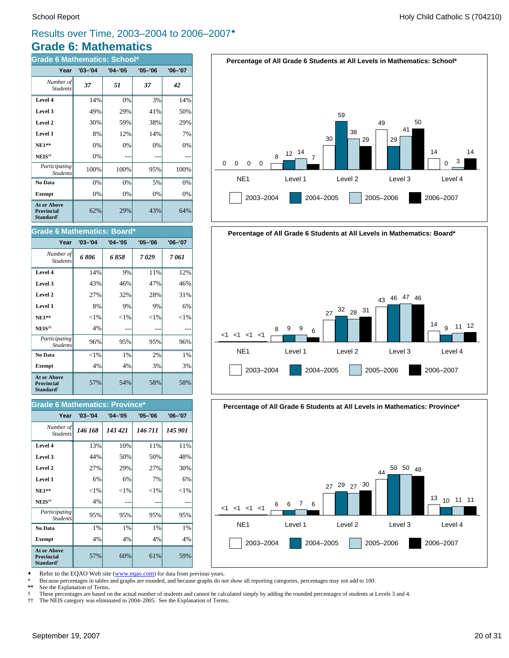### **Grade 6: Mathematics** Results over Time, 2003–2004 to 2006–2007<sup>\*</sup>

| <b>Grade 6 Mathematics: School*</b>                       |             |             |             |             |  |  |  |  |  |
|-----------------------------------------------------------|-------------|-------------|-------------|-------------|--|--|--|--|--|
| Year                                                      | $'03 - '04$ | $'04 - '05$ | $'05 - '06$ | $'06 - '07$ |  |  |  |  |  |
| Number of<br><b>Students</b>                              | 37          | 51          | 37          | 42          |  |  |  |  |  |
| Level 4                                                   | 14%         | 0%          | 3%          | 14%         |  |  |  |  |  |
| Level 3                                                   | 49%         | 29%         | 41%         | 50%         |  |  |  |  |  |
| Level 2                                                   | 30%         | 59%         | 38%         | 29%         |  |  |  |  |  |
| Level 1                                                   | 8%          | 12%         | 14%         | 7%          |  |  |  |  |  |
| <b>NE1**</b>                                              | 0%          | 0%          | 0%          | 0%          |  |  |  |  |  |
| NEIS <sup>††</sup>                                        | 0%          |             |             |             |  |  |  |  |  |
| Participating<br><b>Students</b>                          | 100%        | 100%        | 95%         | 100%        |  |  |  |  |  |
| No Data                                                   | 0%          | 0%          | 5%          | 0%          |  |  |  |  |  |
| <b>Exempt</b>                                             | 0%          | 0%          | 0%          | 0%          |  |  |  |  |  |
| At or Above<br>Provincial<br><b>Standard</b> <sup>†</sup> | 62%         | 29%         | 43%         | 64%         |  |  |  |  |  |

#### **Grade 6 Mathematics: Board\***

| Year                                                             | $'03 - '04$ | $'04 - '05$ | $'05 - '06$ | $'06 - '07$ |
|------------------------------------------------------------------|-------------|-------------|-------------|-------------|
| Number of<br><b>Students</b>                                     | 6806        | 6 858       | 7029        | 7 061       |
| Level 4                                                          | 14%         | 9%          | 11%         | 12%         |
| Level 3                                                          | 43%         | 46%         | 47%         | 46%         |
| Level 2                                                          | 27%         | 32%         | 28%         | 31%         |
| Level 1                                                          | 8%          | 9%          | 9%          | 6%          |
| <b>NE1**</b>                                                     | ${<}1\%$    | ${<}1\%$    | ${<}1\%$    | ${<}1\%$    |
| NEIS <sup>††</sup>                                               | 4%          |             |             |             |
| Participating<br><b>Students</b>                                 | 96%         | 95%         | 95%         | 96%         |
| No Data                                                          | ${<}1\%$    | $1\%$       | 2%          | 1%          |
| <b>Exempt</b>                                                    | 4%          | 4%          | 3%          | 3%          |
| <b>At or Above</b><br>Provincial<br><b>Standard</b> <sup>†</sup> | 57%         | 54%         | 58%         | 58%         |

#### **Grade 6 Mathematics: Province\***

| Year                                                                    | $'03 - '04$ | $'04 - '05$ | $'05 - '06$ | $'06 - '07$ |
|-------------------------------------------------------------------------|-------------|-------------|-------------|-------------|
| Number of<br><b>Students</b>                                            | 146 168     | 143 421     | 146 711     | 145 901     |
| Level 4                                                                 | 13%         | 10%         | 11%         | 11%         |
| Level 3                                                                 | 44%         | 50%         | 50%         | 48%         |
| Level 2                                                                 | 27%         | 29%         | 27%         | 30%         |
| Level 1                                                                 | 6%          | 6%          | 7%          | 6%          |
| $NE1**$                                                                 | $<$ 1%      | ${<}1\%$    | ${<}1\%$    | ${<}1\%$    |
| NEIS <sup>††</sup>                                                      | 4%          |             |             |             |
| Participating<br><b>Students</b>                                        | 95%         | 95%         | 95%         | 95%         |
| No Data                                                                 | 1%          | 1%          | 1%          | 1%          |
| <b>Exempt</b>                                                           | 4%          | 4%          | 4%          | 4%          |
| <b>At or Above</b><br><b>Provincial</b><br><b>Standard</b> <sup>†</sup> | 57%         | 60%         | 61%         | 59%         |





**Percentage of All Grade 6 Students at All Levels in Mathematics: Province\***



Refer to the EQAO Web site (www.eqao.com) for data from previous years.

\* Because percentages in tables and graphs are rounded, and because graphs do not show all reporting categories, percentages may not add to 100.

See the Explanation of Terms.

† These percentages are based on the actual number of students and cannot be calculated simply by adding the rounded percentages of students at Levels 3 and 4.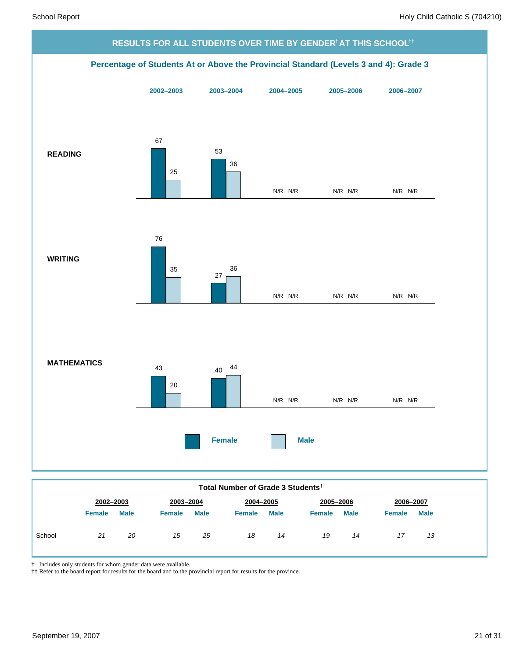

|        | 2002-2003     |             | 2003-2004     |             | 2004-2005     |             |               | 2005-2006   |        | 2006-2007   |  |
|--------|---------------|-------------|---------------|-------------|---------------|-------------|---------------|-------------|--------|-------------|--|
|        | <b>Female</b> | <b>Male</b> | <b>Female</b> | <b>Male</b> | <b>Female</b> | <b>Male</b> | <b>Female</b> | <b>Male</b> | Female | <b>Male</b> |  |
| School | 21            | 20          | 15            | 25          | 18            | 14          | 19            | 14          | 17     | 13          |  |

† Includes only students for whom gender data were available.

†† Refer to the board report for results for the board and to the provincial report for results for the province.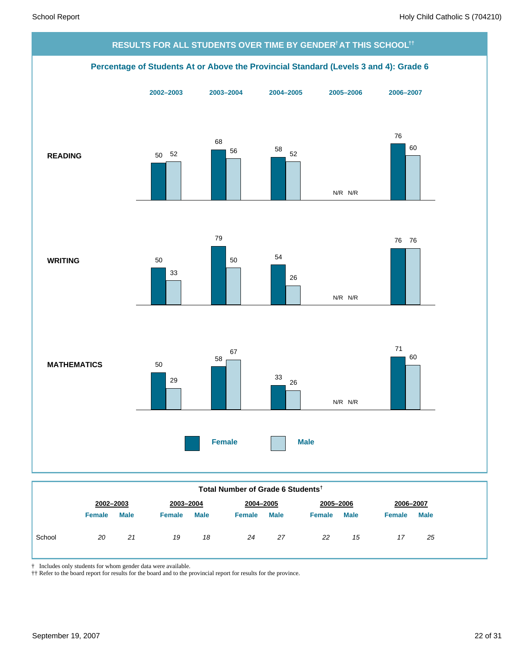

|  | Total Number of Grade 6 Students <sup>†</sup> |
|--|-----------------------------------------------|
|--|-----------------------------------------------|

|        | 2002-2003     |             | 2003-2004     |             | 2004-2005     |             | 2005-2006     |             | 2006-2007 |             |
|--------|---------------|-------------|---------------|-------------|---------------|-------------|---------------|-------------|-----------|-------------|
|        | <b>Female</b> | <b>Male</b> | <b>Female</b> | <b>Male</b> | <b>Female</b> | <b>Male</b> | <b>Female</b> | <b>Male</b> | Female    | <b>Male</b> |
| School | 20            | 21          | 19            | 18          | 24            | 27          | 22            | 15          |           | 25          |

† Includes only students for whom gender data were available.

†† Refer to the board report for results for the board and to the provincial report for results for the province.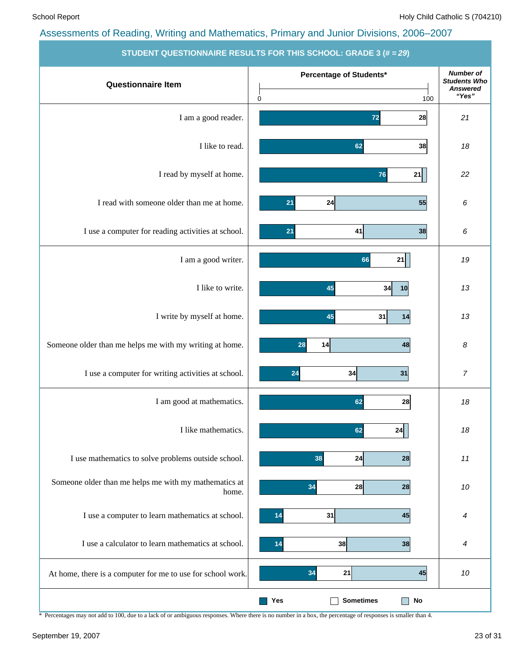| <b>STUDENT QUESTIONNAIRE RESULTS FOR THIS SCHOOL: GRADE 3 (# = 29)</b> |                                             |                                                                     |  |  |  |  |  |  |
|------------------------------------------------------------------------|---------------------------------------------|---------------------------------------------------------------------|--|--|--|--|--|--|
| <b>Questionnaire Item</b>                                              | Percentage of Students*<br>$\pmb{0}$<br>100 | <b>Number of</b><br><b>Students Who</b><br><b>Answered</b><br>"Yes" |  |  |  |  |  |  |
| I am a good reader.                                                    | 28<br>72                                    | 21                                                                  |  |  |  |  |  |  |
| I like to read.                                                        | 38<br>62                                    | 18                                                                  |  |  |  |  |  |  |
| I read by myself at home.                                              | 76<br>21                                    | 22                                                                  |  |  |  |  |  |  |
| I read with someone older than me at home.                             | 21<br>24<br>55                              | 6                                                                   |  |  |  |  |  |  |
| I use a computer for reading activities at school.                     | 21<br>41<br>38                              | 6                                                                   |  |  |  |  |  |  |
| I am a good writer.                                                    | 21<br>66                                    | 19                                                                  |  |  |  |  |  |  |
| I like to write.                                                       | 45<br>34<br>10                              | 13                                                                  |  |  |  |  |  |  |
| I write by myself at home.                                             | 45<br>31<br>14                              | 13                                                                  |  |  |  |  |  |  |
| Someone older than me helps me with my writing at home.                | 28<br>14<br>48                              | 8                                                                   |  |  |  |  |  |  |
| I use a computer for writing activities at school.                     | 24<br>34<br>31                              | $\boldsymbol{7}$                                                    |  |  |  |  |  |  |
| I am good at mathematics.                                              | 62<br>28                                    | 18                                                                  |  |  |  |  |  |  |
| I like mathematics.                                                    | 24<br>62                                    | 18                                                                  |  |  |  |  |  |  |
| I use mathematics to solve problems outside school.                    | 24<br>38<br>28                              | 11                                                                  |  |  |  |  |  |  |
| Someone older than me helps me with my mathematics at<br>home.         | 34<br>28<br>28                              | 10                                                                  |  |  |  |  |  |  |
| I use a computer to learn mathematics at school.                       | 31<br>45<br>14                              | 4                                                                   |  |  |  |  |  |  |
| I use a calculator to learn mathematics at school.                     | 38<br>38<br>14                              | 4                                                                   |  |  |  |  |  |  |
| At home, there is a computer for me to use for school work.            | 34<br>21<br>45                              | 10                                                                  |  |  |  |  |  |  |
|                                                                        | <b>Sometimes</b><br>Yes<br>No               |                                                                     |  |  |  |  |  |  |

\* Percentages may not add to 100, due to a lack of or ambiguous responses. Where there is no number in a box, the percentage of responses is smaller than 4.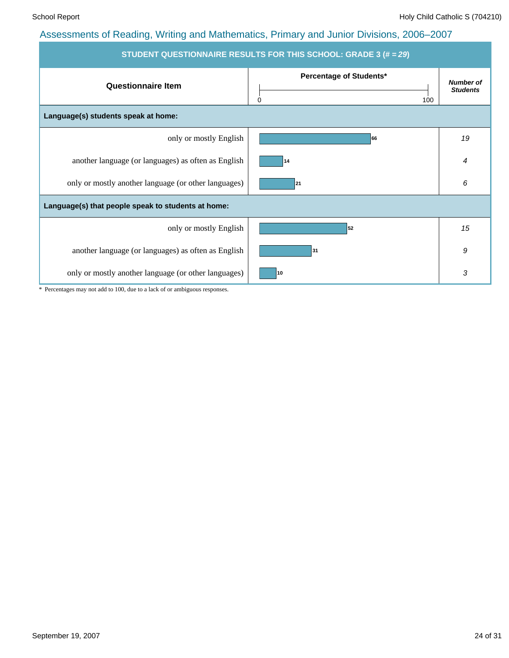| STUDENT QUESTIONNAIRE RESULTS FOR THIS SCHOOL: GRADE 3 (# = 29) |                                            |                                     |  |  |  |  |  |
|-----------------------------------------------------------------|--------------------------------------------|-------------------------------------|--|--|--|--|--|
| <b>Questionnaire Item</b>                                       | Percentage of Students*<br>$\Omega$<br>100 | <b>Number of</b><br><b>Students</b> |  |  |  |  |  |
| Language(s) students speak at home:                             |                                            |                                     |  |  |  |  |  |
| only or mostly English                                          | 66                                         | 19                                  |  |  |  |  |  |
| another language (or languages) as often as English             | 14                                         | 4                                   |  |  |  |  |  |
| only or mostly another language (or other languages)            | 21                                         | 6                                   |  |  |  |  |  |
| Language(s) that people speak to students at home:              |                                            |                                     |  |  |  |  |  |
| only or mostly English                                          | 52                                         | 15                                  |  |  |  |  |  |
| another language (or languages) as often as English             | 31                                         | 9                                   |  |  |  |  |  |
| only or mostly another language (or other languages)            | 10                                         | 3                                   |  |  |  |  |  |

\* Percentages may not add to 100, due to a lack of or ambiguous responses.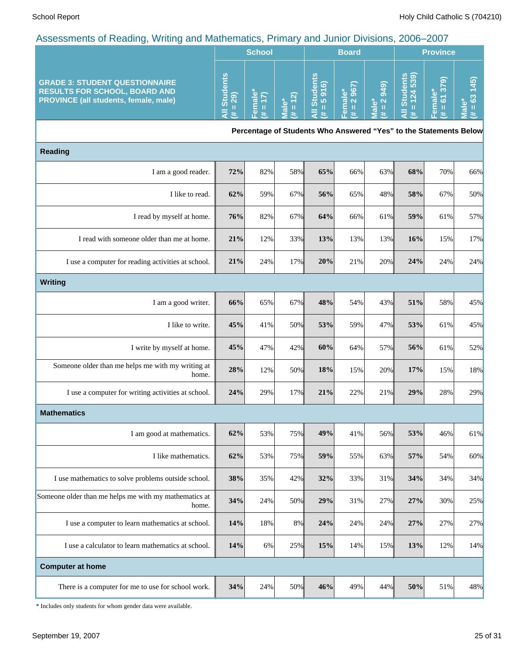|                                                                                                                               |                                          | <b>School</b> |                                           | <b>Board</b>             |                       |                        | <b>Province</b>   |                |
|-------------------------------------------------------------------------------------------------------------------------------|------------------------------------------|---------------|-------------------------------------------|--------------------------|-----------------------|------------------------|-------------------|----------------|
| <b>GRADE 3: STUDENT QUESTIONNAIRE</b><br><b>RESULTS FOR SCHOOL, BOARD AND</b><br><b>PROVINCE (all students, female, male)</b> | ဖ္ပ<br>$\overline{\mathbf{a}}$<br>ၜ<br>5 | ø             | $\widehat{\omega}$<br>5<br><b>LO</b><br>5 | τ<br>മ ത<br>$\pi$ $\sim$ | ெ<br>ာ<br>$\sim$<br>ಗ | െ<br>n<br>ក<br>.,<br>ഗ | ெ<br>∞<br>æ<br>ъ. | <u>in</u><br>ര |

**Percentage of Students Who Answered "Yes" to the Statements Below**

| <b>Reading</b>                                                 |     |     |     |     |     |     |     |     |     |
|----------------------------------------------------------------|-----|-----|-----|-----|-----|-----|-----|-----|-----|
| I am a good reader.                                            | 72% | 82% | 58% | 65% | 66% | 63% | 68% | 70% | 66% |
| I like to read.                                                | 62% | 59% | 67% | 56% | 65% | 48% | 58% | 67% | 50% |
| I read by myself at home.                                      | 76% | 82% | 67% | 64% | 66% | 61% | 59% | 61% | 57% |
| I read with someone older than me at home.                     | 21% | 12% | 33% | 13% | 13% | 13% | 16% | 15% | 17% |
| I use a computer for reading activities at school.             | 21% | 24% | 17% | 20% | 21% | 20% | 24% | 24% | 24% |
| <b>Writing</b>                                                 |     |     |     |     |     |     |     |     |     |
| I am a good writer.                                            | 66% | 65% | 67% | 48% | 54% | 43% | 51% | 58% | 45% |
| I like to write.                                               | 45% | 41% | 50% | 53% | 59% | 47% | 53% | 61% | 45% |
| I write by myself at home.                                     | 45% | 47% | 42% | 60% | 64% | 57% | 56% | 61% | 52% |
| Someone older than me helps me with my writing at<br>home.     | 28% | 12% | 50% | 18% | 15% | 20% | 17% | 15% | 18% |
| I use a computer for writing activities at school.             | 24% | 29% | 17% | 21% | 22% | 21% | 29% | 28% | 29% |
| <b>Mathematics</b>                                             |     |     |     |     |     |     |     |     |     |
| I am good at mathematics.                                      | 62% | 53% | 75% | 49% | 41% | 56% | 53% | 46% | 61% |
| I like mathematics.                                            | 62% | 53% | 75% | 59% | 55% | 63% | 57% | 54% | 60% |
| I use mathematics to solve problems outside school.            | 38% | 35% | 42% | 32% | 33% | 31% | 34% | 34% | 34% |
| Someone older than me helps me with my mathematics at<br>home. | 34% | 24% | 50% | 29% | 31% | 27% | 27% | 30% | 25% |
| I use a computer to learn mathematics at school.               | 14% | 18% | 8%  | 24% | 24% | 24% | 27% | 27% | 27% |
| I use a calculator to learn mathematics at school.             | 14% | 6%  | 25% | 15% | 14% | 15% | 13% | 12% | 14% |
| <b>Computer at home</b>                                        |     |     |     |     |     |     |     |     |     |
| There is a computer for me to use for school work.             | 34% | 24% | 50% | 46% | 49% | 44% | 50% | 51% | 48% |

\* Includes only students for whom gender data were available.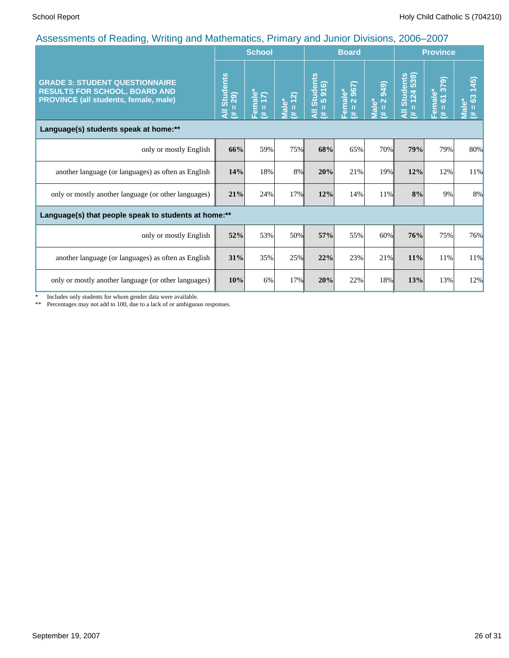|                                                                                                                        |                                                      | <b>School</b>          |                                   |                                             | <b>Board</b>                                                    |                                     | <b>Province</b>                                       |                                            |                                      |
|------------------------------------------------------------------------------------------------------------------------|------------------------------------------------------|------------------------|-----------------------------------|---------------------------------------------|-----------------------------------------------------------------|-------------------------------------|-------------------------------------------------------|--------------------------------------------|--------------------------------------|
| <b>GRADE 3: STUDENT QUESTIONNAIRE</b><br><b>RESULTS FOR SCHOOL, BOARD AND</b><br>PROVINCE (all students, female, male) | <b>Students</b><br>$= 29$<br>₹<br>y.                 | Female*<br>$(\# = 17)$ | (2)<br>Male*<br>$\mathbf{I}$<br>巷 | Students<br>= 5 916)<br>п<br>$\bar{a}$<br>违 | $\frac{967}{2}$<br>Female*<br>$\overline{\mathbf{N}}$<br>Ш<br>共 | 2 949)<br>Male*<br>$\mathbf H$<br>巷 | <b>Students<br/>= 124 539)</b><br>Ш<br>$\bar{a}$<br>违 | 379<br>Female*<br>$\overline{6}$<br>Ш<br>共 | (45)<br>63<br><b>Male*</b><br>Ш<br>巷 |
| Language(s) students speak at home:**                                                                                  |                                                      |                        |                                   |                                             |                                                                 |                                     |                                                       |                                            |                                      |
| only or mostly English                                                                                                 | 66%                                                  | 59%                    | 75%                               | 68%                                         | 65%                                                             | 70%                                 | 79%                                                   | 79%                                        | 80%                                  |
| another language (or languages) as often as English                                                                    | 14%                                                  | 18%                    | 8%                                | 20%                                         | 21%                                                             | 19%                                 | 12%                                                   | 12%                                        | 11%                                  |
| only or mostly another language (or other languages)                                                                   | 21%                                                  | 24%                    | 17%                               | 12%                                         | 14%                                                             | 11%                                 | $8\%$                                                 | 9%                                         | 8%                                   |
|                                                                                                                        | Language(s) that people speak to students at home:** |                        |                                   |                                             |                                                                 |                                     |                                                       |                                            |                                      |
| only or mostly English                                                                                                 | 52%                                                  | 53%                    | 50%                               | 57%                                         | 55%                                                             | 60%                                 | 76%                                                   | 75%                                        | 76%                                  |
| another language (or languages) as often as English                                                                    | 31%                                                  | 35%                    | 25%                               | 22%                                         | 23%                                                             | 21%                                 | 11%                                                   | 11%                                        | 11%                                  |
| only or mostly another language (or other languages)                                                                   | 10%                                                  | 6%                     | 17%                               | 20%                                         | 22%                                                             | 18%                                 | 13%                                                   | 13%                                        | 12%                                  |

\* Includes only students for whom gender data were available.

\*\* Percentages may not add to 100, due to a lack of or ambiguous responses.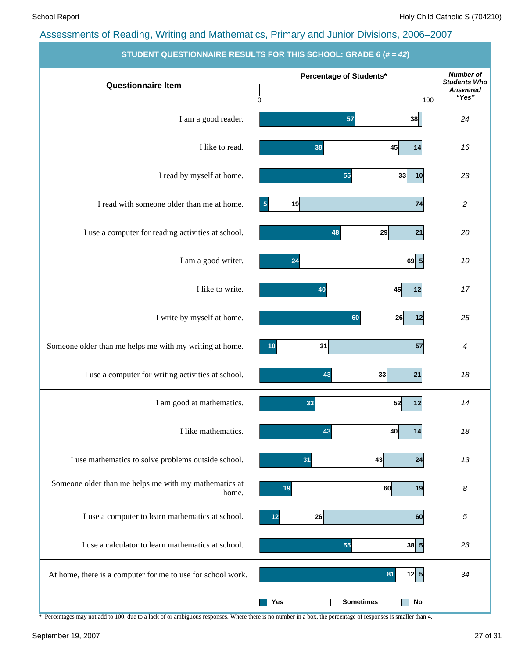| <b>Questionnaire Item</b>                                      | Percentage of Students*              | <b>Number of</b><br><b>Students Who</b> |
|----------------------------------------------------------------|--------------------------------------|-----------------------------------------|
|                                                                | 0<br>100                             | <b>Answered</b><br>"Yes"                |
| I am a good reader.                                            | 38<br>57                             | 24                                      |
| I like to read.                                                | 38<br>45<br>14                       | 16                                      |
| I read by myself at home.                                      | 55<br>33<br>10                       | 23                                      |
| I read with someone older than me at home.                     | 5<br>19<br>74                        | $\boldsymbol{2}$                        |
| I use a computer for reading activities at school.             | 29<br>21<br>48                       | 20                                      |
| I am a good writer.                                            | 69 5<br>24                           | 10                                      |
| I like to write.                                               | 40<br>12<br>45                       | 17                                      |
| I write by myself at home.                                     | 60<br>26<br>12                       | 25                                      |
| Someone older than me helps me with my writing at home.        | 31<br>57<br>10                       | 4                                       |
| I use a computer for writing activities at school.             | 43<br>33<br>21                       | 18                                      |
| I am good at mathematics.                                      | 33<br>52<br>12                       | 14                                      |
| I like mathematics.                                            | 43<br>40<br> 14                      | 18                                      |
| I use mathematics to solve problems outside school.            | 43<br>24<br>31                       | 13                                      |
| Someone older than me helps me with my mathematics at<br>home. | 19<br>60<br>19                       | 8                                       |
| I use a computer to learn mathematics at school.               | 26<br>60<br>12                       | 5                                       |
| I use a calculator to learn mathematics at school.             | 38 5 <br>55                          | 23                                      |
| At home, there is a computer for me to use for school work.    | 12 5<br>81                           | 34                                      |
|                                                                | <b>Sometimes</b><br><b>No</b><br>Yes |                                         |

**STUDENT QUESTIONNAIRE RESULTS FOR THIS SCHOOL: GRADE 6 (# =** *42***)**

\* Percentages may not add to 100, due to a lack of or ambiguous responses. Where there is no number in a box, the percentage of responses is smaller than 4.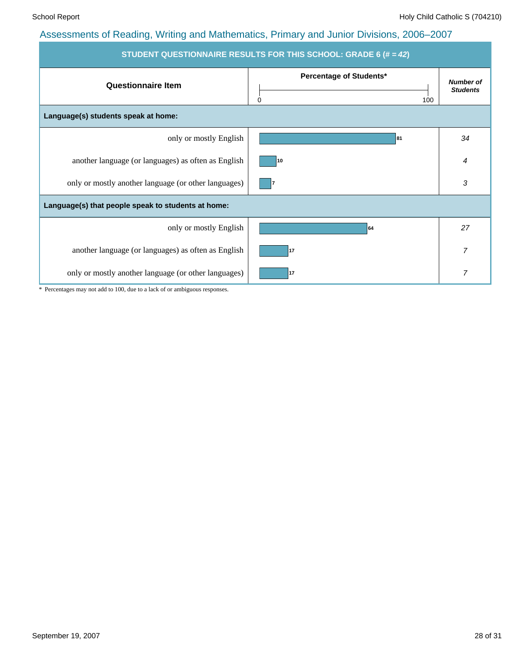| STUDENT QUESTIONNAIRE RESULTS FOR THIS SCHOOL: GRADE 6 (# = 42) |                                     |                                     |  |  |  |  |
|-----------------------------------------------------------------|-------------------------------------|-------------------------------------|--|--|--|--|
| <b>Questionnaire Item</b>                                       | Percentage of Students*<br>0<br>100 | <b>Number of</b><br><b>Students</b> |  |  |  |  |
| Language(s) students speak at home:                             |                                     |                                     |  |  |  |  |
| only or mostly English                                          | 81                                  | 34                                  |  |  |  |  |
| another language (or languages) as often as English             | 10                                  | 4                                   |  |  |  |  |
| only or mostly another language (or other languages)            |                                     | 3                                   |  |  |  |  |
| Language(s) that people speak to students at home:              |                                     |                                     |  |  |  |  |
| only or mostly English                                          | 64                                  | 27                                  |  |  |  |  |
| another language (or languages) as often as English             | 17                                  | $\overline{7}$                      |  |  |  |  |
| only or mostly another language (or other languages)            | 17                                  | 7                                   |  |  |  |  |

\* Percentages may not add to 100, due to a lack of or ambiguous responses.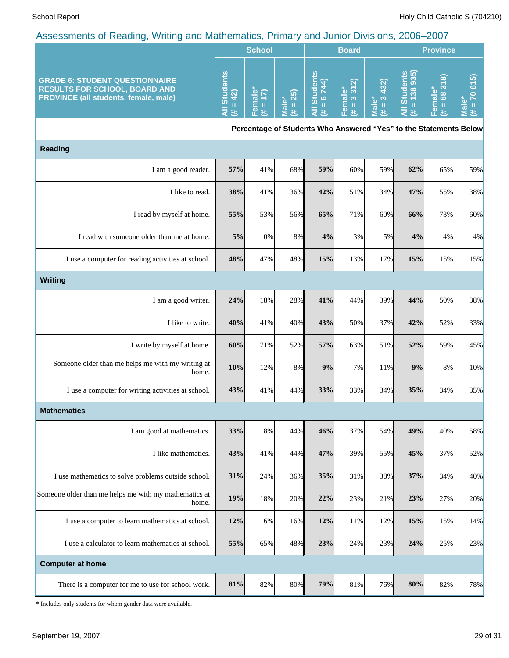|                                                                                                                        | <b>School</b>                |                        |                      |                                                                   | <b>Board</b>                       |                                      | <b>Province</b>              |                                  |                                                           |
|------------------------------------------------------------------------------------------------------------------------|------------------------------|------------------------|----------------------|-------------------------------------------------------------------|------------------------------------|--------------------------------------|------------------------------|----------------------------------|-----------------------------------------------------------|
| <b>GRADE 6: STUDENT QUESTIONNAIRE</b><br><b>RESULTS FOR SCHOOL, BOARD AND</b><br>PROVINCE (all students, female, male) | All Students<br>$= 42$<br>y. | Female*<br>$= 17$<br>生 | $= 25$<br>Male*<br>共 | <b>All Students</b><br>$= 6744$<br>共                              | 312<br>Female*<br>$(\sharp = 3.31$ | 432)<br>$\frac{1}{3}$<br>Male*<br>y. | All Students<br>$# = 138935$ | 68318<br>Female*<br>$\,$ II<br>主 | 615<br>$\overline{2}$<br>ΰ٥<br>$\rm H$<br><b>Tal</b><br>共 |
|                                                                                                                        |                              |                        |                      | Percentage of Students Who Answered "Yes" to the Statements Below |                                    |                                      |                              |                                  |                                                           |
| <b>Reading</b>                                                                                                         |                              |                        |                      |                                                                   |                                    |                                      |                              |                                  |                                                           |
| I am a good reader.                                                                                                    | 57%                          | 41%                    | 68%                  | 59%                                                               | 60%                                | 59%                                  | 62%                          | 65%                              | 59%                                                       |
| I like to read.                                                                                                        | 38%                          | 41%                    | 36%                  | 42%                                                               | 51%                                | 34%                                  | 47%                          | 55%                              | 38%                                                       |
| I read by myself at home.                                                                                              | 55%                          | 53%                    | 56%                  | 65%                                                               | 71%                                | 60%                                  | 66%                          | 73%                              | 60%                                                       |
| I read with someone older than me at home.                                                                             | 5%                           | 0%                     | 8%                   | 4%                                                                | 3%                                 | 5%                                   | 4%                           | 4%                               | 4%                                                        |
| I use a computer for reading activities at school.                                                                     | 48%                          | 47%                    | 48%                  | 15%                                                               | 13%                                | 17%                                  | 15%                          | 15%                              | 15%                                                       |
| Writing                                                                                                                |                              |                        |                      |                                                                   |                                    |                                      |                              |                                  |                                                           |
| I am a good writer.                                                                                                    | 24%                          | 18%                    | 28%                  | 41%                                                               | 44%                                | 39%                                  | 44%                          | 50%                              | 38%                                                       |
| I like to write.                                                                                                       | 40%                          | 41%                    | 40%                  | 43%                                                               | 50%                                | 37%                                  | 42%                          | 52%                              | 33%                                                       |
| I write by myself at home.                                                                                             | 60%                          | 71%                    | 52%                  | 57%                                                               | 63%                                | 51%                                  | 52%                          | 59%                              | 45%                                                       |
| Someone older than me helps me with my writing at<br>home.                                                             | 10%                          | 12%                    | 8%                   | 9%                                                                | 7%                                 | 11%                                  | 9%                           | 8%                               | 10%                                                       |
| I use a computer for writing activities at school.                                                                     | 43%                          | 41%                    | 44%                  | 33%                                                               | 33%                                | 34%                                  | 35%                          | 34%                              | 35%                                                       |
| <b>Mathematics</b>                                                                                                     |                              |                        |                      |                                                                   |                                    |                                      |                              |                                  |                                                           |
| I am good at mathematics.                                                                                              | 33%                          | 18%                    | 44%                  | 46%                                                               | 37%                                | 54%                                  | 49%                          | 40%                              | 58%                                                       |
| I like mathematics.                                                                                                    | 43%                          | 41%                    | 44%                  | 47%                                                               | 39%                                | 55%                                  | 45%                          | 37%                              | 52%                                                       |
| I use mathematics to solve problems outside school.                                                                    | 31%                          | 24%                    | 36%                  | 35%                                                               | 31%                                | 38%                                  | 37%                          | 34%                              | 40%                                                       |
| Someone older than me helps me with my mathematics at<br>home.                                                         | 19%                          | 18%                    | 20%                  | 22%                                                               | 23%                                | 21%                                  | 23%                          | 27%                              | 20%                                                       |
| I use a computer to learn mathematics at school.                                                                       | 12%                          | 6%                     | 16%                  | 12%                                                               | 11%                                | 12%                                  | 15%                          | 15%                              | 14%                                                       |
| I use a calculator to learn mathematics at school.                                                                     | 55%                          | 65%                    | 48%                  | 23%                                                               | 24%                                | 23%                                  | 24%                          | 25%                              | 23%                                                       |
| <b>Computer at home</b>                                                                                                |                              |                        |                      |                                                                   |                                    |                                      |                              |                                  |                                                           |
| There is a computer for me to use for school work.                                                                     | 81%                          | 82%                    | 80%                  | 79%                                                               | 81%                                | 76%                                  | 80%                          | 82%                              | 78%                                                       |

\* Includes only students for whom gender data were available.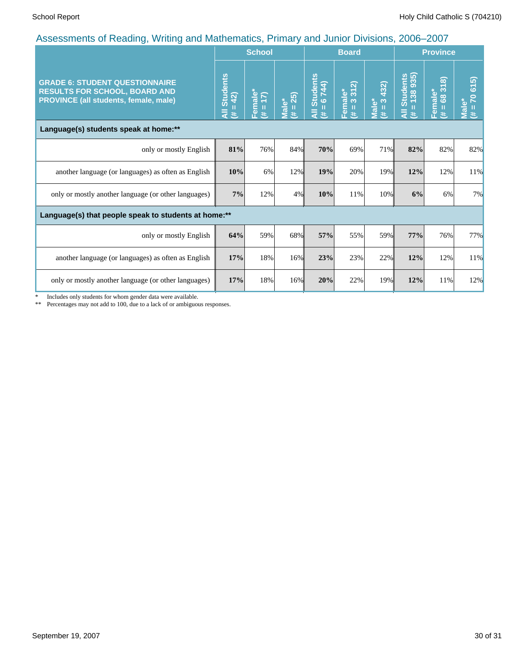|                                                                                                                        |                                                      | <b>School</b>          |                               |                                                 | <b>Board</b>              |                                            | <b>Province</b>                                |                                                                 |                            |
|------------------------------------------------------------------------------------------------------------------------|------------------------------------------------------|------------------------|-------------------------------|-------------------------------------------------|---------------------------|--------------------------------------------|------------------------------------------------|-----------------------------------------------------------------|----------------------------|
| <b>GRADE 6: STUDENT QUESTIONNAIRE</b><br><b>RESULTS FOR SCHOOL, BOARD AND</b><br>PROVINCE (all students, female, male) | <b>Students</b><br>$= 42$<br>$\bar{a}$<br>Ë.         | Female*<br>$(\# = 17)$ | 25)<br>Male*<br>$\frac{1}{1}$ | <b>Students</b><br>6744)<br>п<br>$\bar{a}$<br>违 | Female*<br>$(\# = 3.312)$ | 432)<br>$\infty$<br><b>Male*</b><br>Ш<br>巷 | Students<br>= (138 935)<br>Ш<br>$\bar{a}$<br>违 | 318<br>$\frac{1}{2}$ male*<br>= 683<br>Ш<br>$\overline{e}$<br>进 | 70 615)<br>Male*<br>Ш<br>悲 |
| Language(s) students speak at home:**                                                                                  |                                                      |                        |                               |                                                 |                           |                                            |                                                |                                                                 |                            |
| only or mostly English                                                                                                 | 81%                                                  | 76%                    | 84%                           | 70%                                             | 69%                       | 71%                                        | 82%                                            | 82%                                                             | 82%                        |
| another language (or languages) as often as English                                                                    | 10%                                                  | 6%                     | 12%                           | 19%                                             | 20%                       | 19%                                        | 12%                                            | 12%                                                             | 11%                        |
| only or mostly another language (or other languages)                                                                   | 7%                                                   | 12%                    | 4%                            | 10%                                             | 11%                       | 10%                                        | 6%                                             | 6%                                                              | 7%                         |
|                                                                                                                        | Language(s) that people speak to students at home:** |                        |                               |                                                 |                           |                                            |                                                |                                                                 |                            |
| only or mostly English                                                                                                 | 64%                                                  | 59%                    | 68%                           | 57%                                             | 55%                       | 59%                                        | 77%                                            | 76%                                                             | 77%                        |
| another language (or languages) as often as English                                                                    | 17%                                                  | 18%                    | 16%                           | 23%                                             | 23%                       | 22%                                        | 12%                                            | 12%                                                             | 11%                        |
| only or mostly another language (or other languages)                                                                   | 17%                                                  | 18%                    | 16%                           | 20%                                             | 22%                       | 19%                                        | 12%                                            | 11%                                                             | 12%                        |

\* Includes only students for whom gender data were available.

\*\* Percentages may not add to 100, due to a lack of or ambiguous responses.